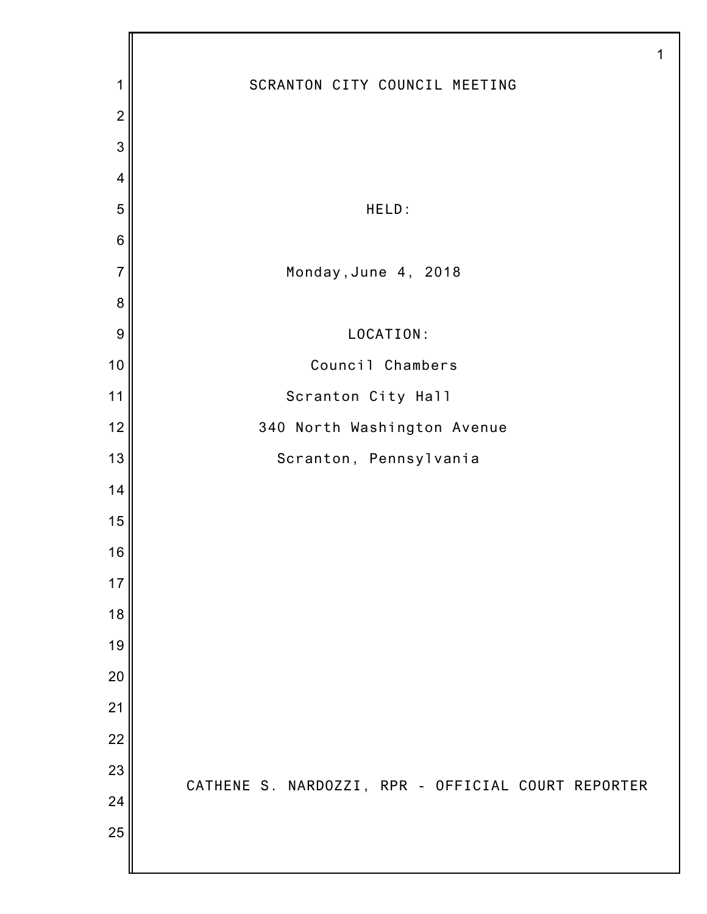|                |                                                    | 1 |
|----------------|----------------------------------------------------|---|
| 1              | SCRANTON CITY COUNCIL MEETING                      |   |
| $\overline{2}$ |                                                    |   |
| 3              |                                                    |   |
| $\overline{4}$ |                                                    |   |
| 5              | HELD:                                              |   |
| $\,6$          |                                                    |   |
| $\overline{7}$ | Monday, June 4, 2018                               |   |
| 8              |                                                    |   |
| 9              | LOCATION:                                          |   |
| 10             | Council Chambers                                   |   |
| 11             | Scranton City Hall                                 |   |
| 12             | 340 North Washington Avenue                        |   |
| 13             | Scranton, Pennsylvania                             |   |
| 14             |                                                    |   |
| 15             |                                                    |   |
| 16             |                                                    |   |
| 17             |                                                    |   |
| 18             |                                                    |   |
| 19             |                                                    |   |
| 20             |                                                    |   |
| 21             |                                                    |   |
| 22             |                                                    |   |
| 23             | CATHENE S. NARDOZZI, RPR - OFFICIAL COURT REPORTER |   |
| 24             |                                                    |   |
| 25             |                                                    |   |
|                |                                                    |   |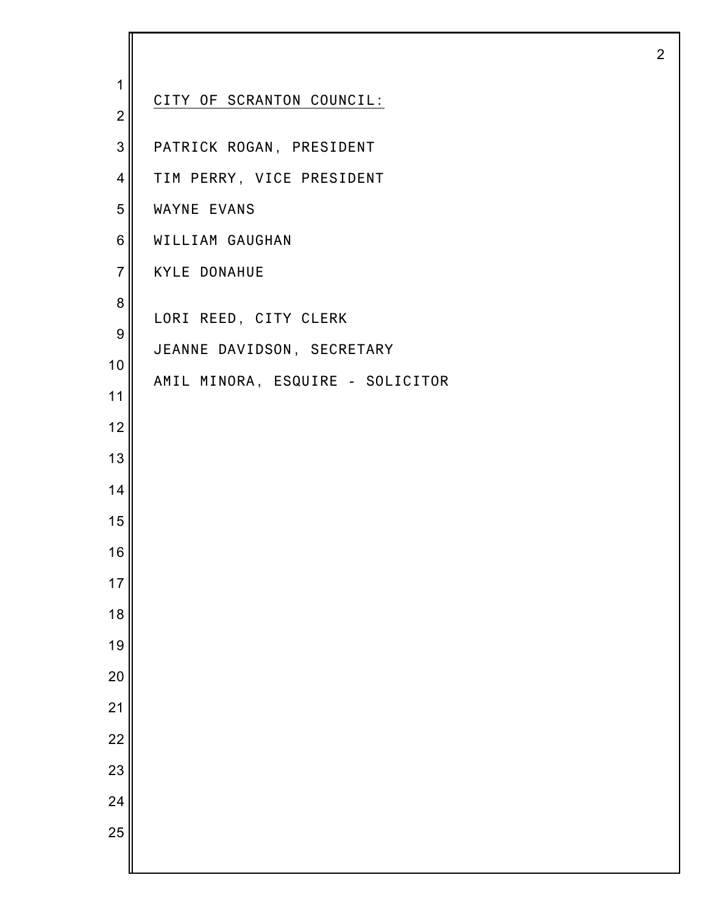| 1<br>$\overline{2}$                                                                  | CITY OF SCRANTON COUNCIL:                                                               |
|--------------------------------------------------------------------------------------|-----------------------------------------------------------------------------------------|
| 3                                                                                    | PATRICK ROGAN, PRESIDENT                                                                |
| $\overline{4}$                                                                       | TIM PERRY, VICE PRESIDENT                                                               |
| 5                                                                                    | WAYNE EVANS                                                                             |
| 6                                                                                    | WILLIAM GAUGHAN                                                                         |
| $\overline{7}$                                                                       | <b>KYLE DONAHUE</b>                                                                     |
| 8<br>9<br>10<br>11<br>12<br>13<br>14<br>15<br>16<br>17<br>18<br>19<br>20<br>21<br>22 | LORI REED, CITY CLERK<br>JEANNE DAVIDSON, SECRETARY<br>AMIL MINORA, ESQUIRE - SOLICITOR |
| 23                                                                                   |                                                                                         |
| 24                                                                                   |                                                                                         |
| 25                                                                                   |                                                                                         |
|                                                                                      |                                                                                         |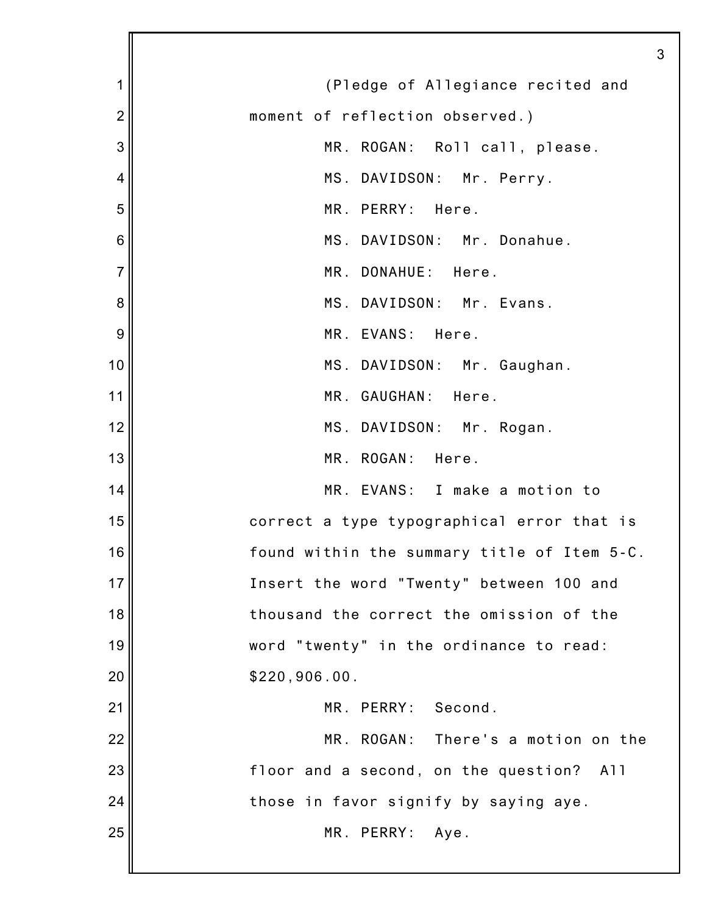| 1              | (Pledge of Allegiance recited and           |
|----------------|---------------------------------------------|
| $\overline{2}$ | moment of reflection observed.)             |
| 3              | MR. ROGAN: Roll call, please.               |
| 4              | MS. DAVIDSON: Mr. Perry.                    |
| 5              | MR. PERRY: Here.                            |
| 6              | MS. DAVIDSON: Mr. Donahue.                  |
| $\overline{7}$ | MR. DONAHUE: Here.                          |
| 8              | MS. DAVIDSON: Mr. Evans.                    |
| 9              | MR. EVANS: Here.                            |
| 10             | MS. DAVIDSON: Mr. Gaughan.                  |
| 11             | MR. GAUGHAN: Here.                          |
| 12             | MS. DAVIDSON: Mr. Rogan.                    |
| 13             | MR. ROGAN: Here.                            |
| 14             | MR. EVANS: I make a motion to               |
| 15             | correct a type typographical error that is  |
| 16             | found within the summary title of Item 5-C. |
| 17             | Insert the word "Twenty" between 100 and    |
| 18             | thousand the correct the omission of the    |
| 19             | word "twenty" in the ordinance to read:     |
| 20             | \$220,906.00.                               |
| 21             | MR. PERRY: Second.                          |
| 22             | MR. ROGAN: There's a motion on the          |
| 23             | floor and a second, on the question? All    |
| 24             | those in favor signify by saying aye.       |
| 25             | MR. PERRY: Aye.                             |
|                |                                             |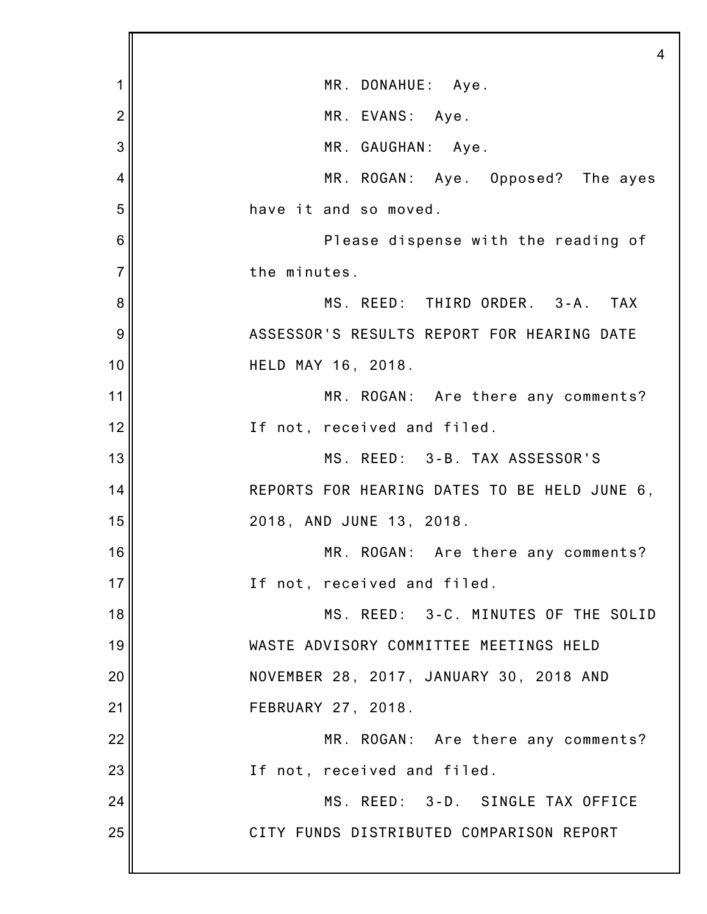|                | 4                                            |
|----------------|----------------------------------------------|
| 1              | MR. DONAHUE: Aye.                            |
| $\overline{2}$ | MR. EVANS: Aye.                              |
| 3              | MR. GAUGHAN: Aye.                            |
| 4              | MR. ROGAN: Aye. Opposed? The ayes            |
| 5              | have it and so moved.                        |
| 6              | Please dispense with the reading of          |
| $\overline{7}$ | the minutes.                                 |
| 8              | MS. REED: THIRD ORDER. 3-A. TAX              |
| 9              | ASSESSOR'S RESULTS REPORT FOR HEARING DATE   |
| 10             | HELD MAY 16, 2018.                           |
| 11             | MR. ROGAN: Are there any comments?           |
| 12             | If not, received and filed.                  |
| 13             | MS. REED: 3-B. TAX ASSESSOR'S                |
| 14             | REPORTS FOR HEARING DATES TO BE HELD JUNE 6, |
| 15             | 2018, AND JUNE 13, 2018.                     |
| 16             | MR. ROGAN: Are there any comments?           |
| 17             | If not, received and filed.                  |
| 18             | MS. REED: 3-C. MINUTES OF THE SOLID          |
| 19             | WASTE ADVISORY COMMITTEE MEETINGS HELD       |
| 20             | NOVEMBER 28, 2017, JANUARY 30, 2018 AND      |
| 21             | FEBRUARY 27, 2018.                           |
| 22             | MR. ROGAN: Are there any comments?           |
| 23             | If not, received and filed.                  |
| 24             | MS. REED: 3-D. SINGLE TAX OFFICE             |
| 25             | CITY FUNDS DISTRIBUTED COMPARISON REPORT     |
|                |                                              |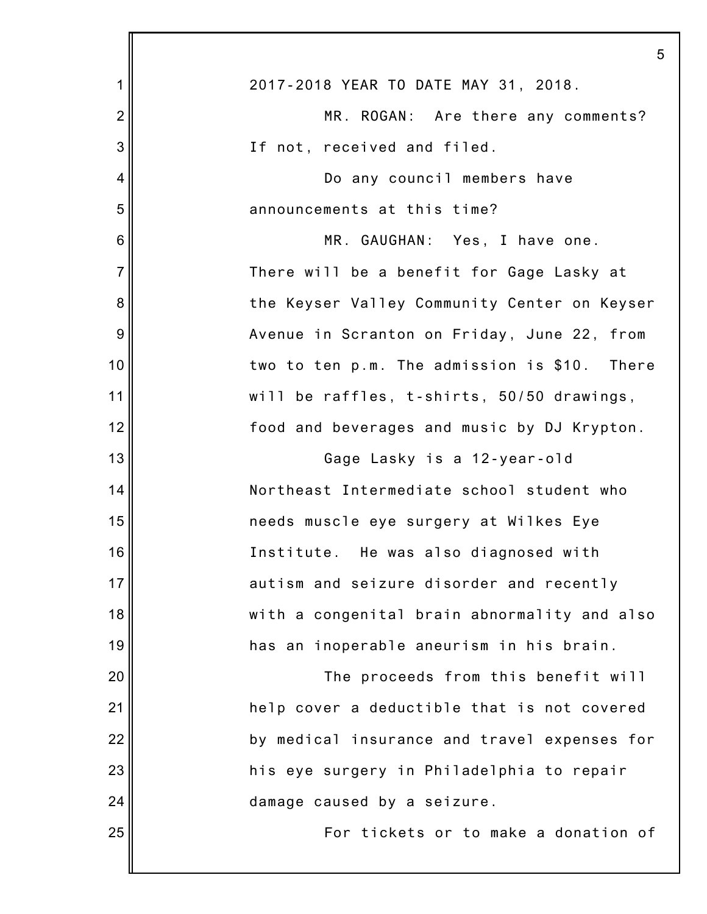|                | 5                                            |
|----------------|----------------------------------------------|
| 1              | 2017-2018 YEAR TO DATE MAY 31, 2018.         |
| $\overline{2}$ | MR. ROGAN: Are there any comments?           |
| 3              | If not, received and filed.                  |
| 4              | Do any council members have                  |
| 5              | announcements at this time?                  |
| 6              | MR. GAUGHAN: Yes, I have one.                |
| $\overline{7}$ | There will be a benefit for Gage Lasky at    |
| 8              | the Keyser Valley Community Center on Keyser |
| 9              | Avenue in Scranton on Friday, June 22, from  |
| 10             | two to ten p.m. The admission is \$10. There |
| 11             | will be raffles, t-shirts, 50/50 drawings,   |
| 12             | food and beverages and music by DJ Krypton.  |
| 13             | Gage Lasky is a 12-year-old                  |
| 14             | Northeast Intermediate school student who    |
| 15             | needs muscle eye surgery at Wilkes Eye       |
| 16             | Institute. He was also diagnosed with        |
| 17             | autism and seizure disorder and recently     |
| 18             | with a congenital brain abnormality and also |
| 19             | has an inoperable aneurism in his brain.     |
| 20             | The proceeds from this benefit will          |
| 21             | help cover a deductible that is not covered  |
| 22             | by medical insurance and travel expenses for |
| 23             | his eye surgery in Philadelphia to repair    |
| 24             | damage caused by a seizure.                  |
| 25             | For tickets or to make a donation of         |
|                |                                              |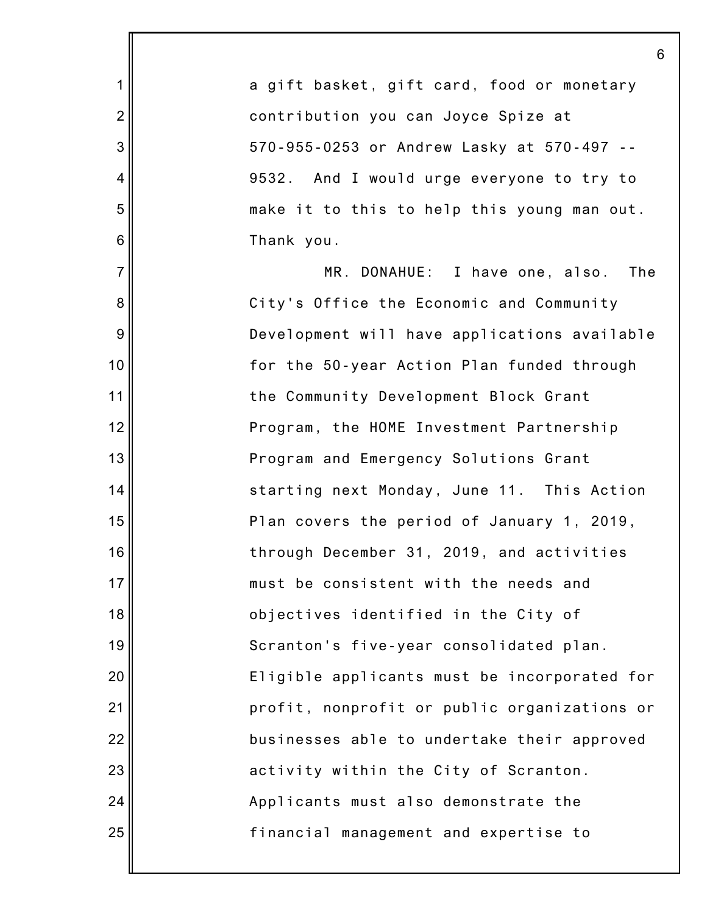2 3 4 5 6 7 8 9 10 12 13 14 15 16 17 18 19 20 22 23 24 25 a gift basket, gift card, food or monetary contribution you can Joyce Spize at 570-955-0253 or Andrew Lasky at 570-497 -- 9532. And I would urge everyone to try to make it to this to help this young man out. Thank you. MR. DONAHUE: I have one, also. The City's Office the Economic and Community Development will have applications available for the 50-year Action Plan funded through the Community Development Block Grant Program, the HOME Investment Partnership Program and Emergency Solutions Grant starting next Monday, June 11. This Action Plan covers the period of January 1, 2019, through December 31, 2019, and activities must be consistent with the needs and objectives identified in the City of Scranton's five-year consolidated plan. Eligible applicants must be incorporated for profit, nonprofit or public organizations or businesses able to undertake their approved activity within the City of Scranton. Applicants must also demonstrate the financial management and expertise to

6

1

11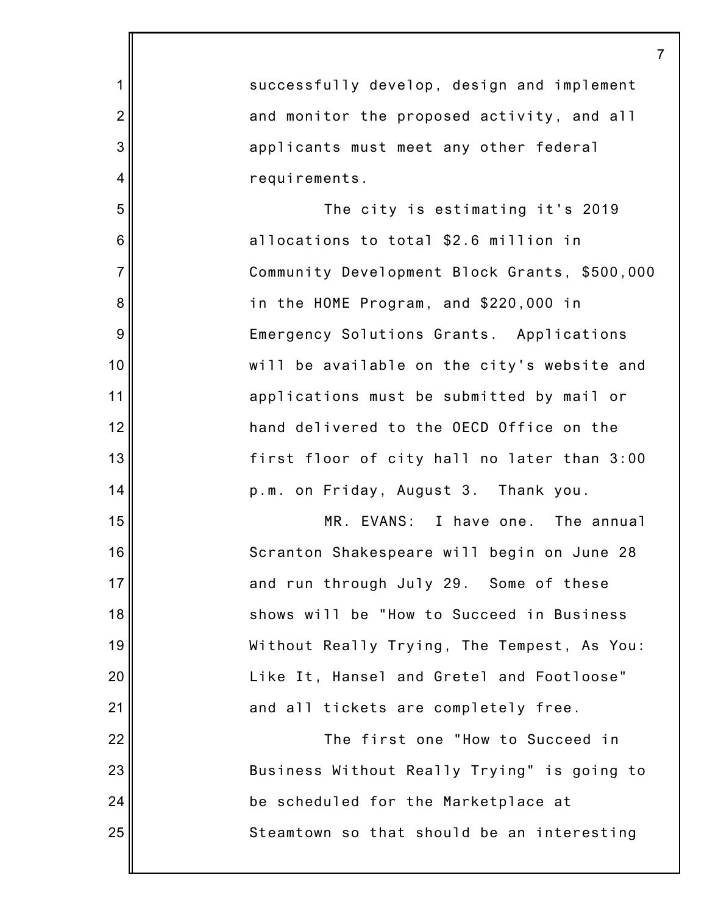| 1              | successfully develop, design and implement    |
|----------------|-----------------------------------------------|
| $\overline{2}$ | and monitor the proposed activity, and all    |
| 3              | applicants must meet any other federal        |
| $\overline{4}$ | requirements.                                 |
| 5              | The city is estimating it's 2019              |
| $\,6$          | allocations to total \$2.6 million in         |
| $\overline{7}$ | Community Development Block Grants, \$500,000 |
| 8              | in the HOME Program, and \$220,000 in         |
| 9              | Emergency Solutions Grants. Applications      |
| 10             | will be available on the city's website and   |
| 11             | applications must be submitted by mail or     |
| 12             | hand delivered to the OECD Office on the      |
| 13             | first floor of city hall no later than 3:00   |
| 14             | p.m. on Friday, August 3. Thank you.          |
| 15             | MR. EVANS: I have one. The annual             |
| 16             | Scranton Shakespeare will begin on June 28    |
| 17             | and run through July 29. Some of these        |
| 18             | shows will be "How to Succeed in Business     |
| 19             | Without Really Trying, The Tempest, As You:   |
| 20             | Like It, Hansel and Gretel and Footloose"     |
| 21             | and all tickets are completely free.          |
| 22             | The first one "How to Succeed in              |
| 23             | Business Without Really Trying" is going to   |
| 24             | be scheduled for the Marketplace at           |
| 25             | Steamtown so that should be an interesting    |
|                |                                               |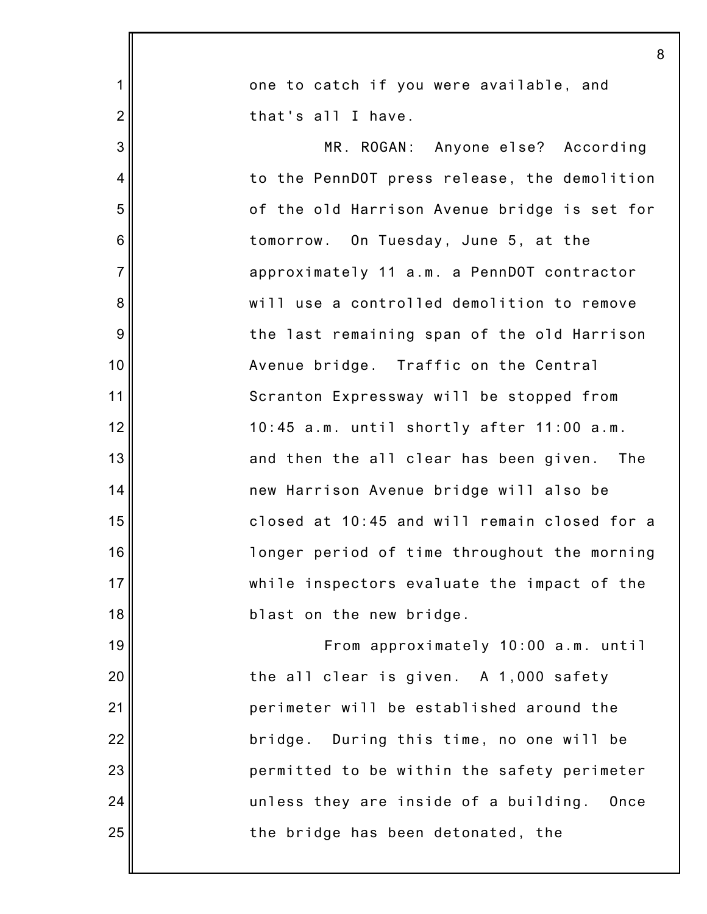|                  | 8                                             |
|------------------|-----------------------------------------------|
| 1                | one to catch if you were available, and       |
| $\overline{2}$   | that's all I have.                            |
| 3                | MR. ROGAN: Anyone else? According             |
| 4                | to the PennDOT press release, the demolition  |
| 5                | of the old Harrison Avenue bridge is set for  |
| $\,6$            | tomorrow. On Tuesday, June 5, at the          |
| $\overline{7}$   | approximately 11 a.m. a PennDOT contractor    |
| 8                | will use a controlled demolition to remove    |
| $\boldsymbol{9}$ | the last remaining span of the old Harrison   |
| 10               | Avenue bridge. Traffic on the Central         |
| 11               | Scranton Expressway will be stopped from      |
| 12               | 10:45 a.m. until shortly after 11:00 a.m.     |
| 13               | and then the all clear has been given.<br>The |
| 14               | new Harrison Avenue bridge will also be       |
| 15               | closed at 10:45 and will remain closed for a  |
| 16               | longer period of time throughout the morning  |
| 17               | while inspectors evaluate the impact of the   |
| 18               | blast on the new bridge.                      |
| 19               | From approximately 10:00 a.m. until           |
| 20               | the all clear is given. A 1,000 safety        |
| 21               | perimeter will be established around the      |
| 22               | bridge. During this time, no one will be      |
| 23               | permitted to be within the safety perimeter   |
| 24               | unless they are inside of a building.<br>Once |
| 25               | the bridge has been detonated, the            |
|                  |                                               |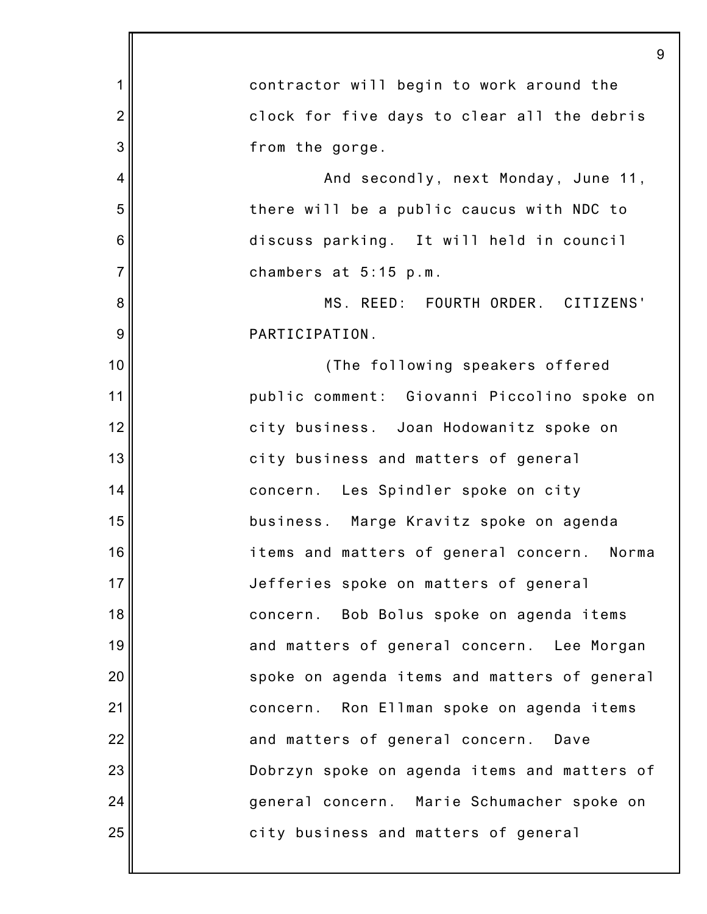|                | 9                                              |
|----------------|------------------------------------------------|
| 1              | contractor will begin to work around the       |
| $\overline{2}$ | clock for five days to clear all the debris    |
| 3              | from the gorge.                                |
| $\overline{4}$ | And secondly, next Monday, June 11,            |
| 5              | there will be a public caucus with NDC to      |
| 6              | discuss parking. It will held in council       |
| $\overline{7}$ | chambers at 5:15 p.m.                          |
| 8              | MS. REED: FOURTH ORDER. CITIZENS'              |
| 9              | PARTICIPATION.                                 |
| 10             | (The following speakers offered                |
| 11             | public comment: Giovanni Piccolino spoke on    |
| 12             | city business. Joan Hodowanitz spoke on        |
| 13             | city business and matters of general           |
| 14             | concern. Les Spindler spoke on city            |
| 15             | business. Marge Kravitz spoke on agenda        |
| 16             | items and matters of general concern.<br>Norma |
| 17             | Jefferies spoke on matters of general          |
| 18             | concern. Bob Bolus spoke on agenda items       |
| 19             | and matters of general concern. Lee Morgan     |
| 20             | spoke on agenda items and matters of general   |
| 21             | concern. Ron Ellman spoke on agenda items      |
| 22             | and matters of general concern. Dave           |
| 23             | Dobrzyn spoke on agenda items and matters of   |
| 24             | general concern. Marie Schumacher spoke on     |
| 25             | city business and matters of general           |
|                |                                                |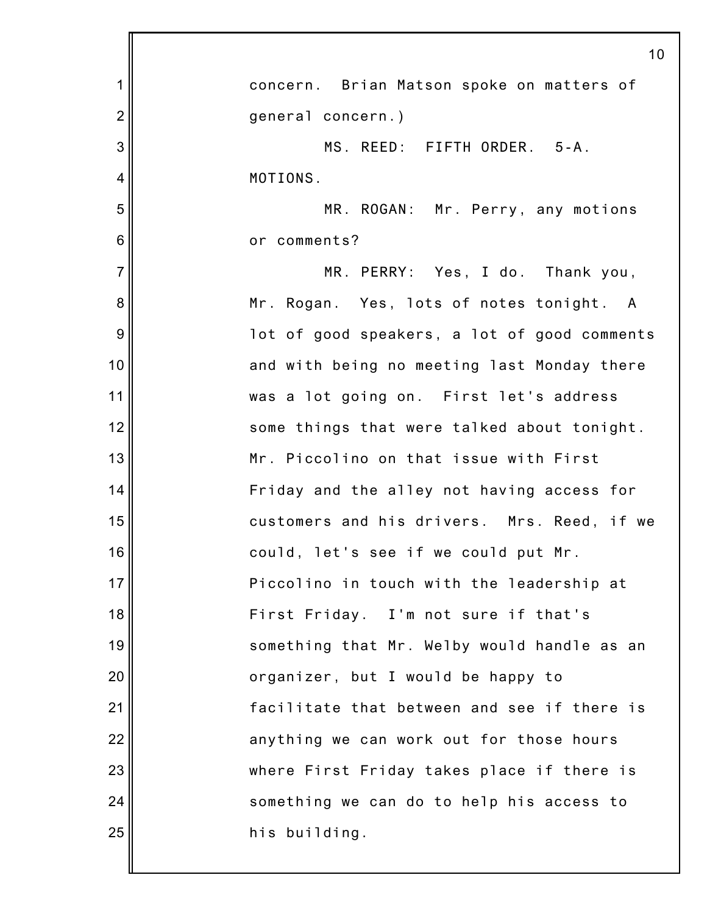|                | 10                                           |
|----------------|----------------------------------------------|
| 1              | concern. Brian Matson spoke on matters of    |
| $\overline{2}$ | general concern.)                            |
| 3              | MS. REED: FIFTH ORDER. 5-A.                  |
| 4              | MOTIONS.                                     |
| 5              | MR. ROGAN: Mr. Perry, any motions            |
| 6              | or comments?                                 |
| $\overline{7}$ | MR. PERRY: Yes, I do. Thank you,             |
| 8              | Mr. Rogan. Yes, lots of notes tonight. A     |
| 9              | lot of good speakers, a lot of good comments |
| 10             | and with being no meeting last Monday there  |
| 11             | was a lot going on. First let's address      |
| 12             | some things that were talked about tonight.  |
| 13             | Mr. Piccolino on that issue with First       |
| 14             | Friday and the alley not having access for   |
| 15             | customers and his drivers. Mrs. Reed, if we  |
| 16             | could, let's see if we could put Mr.         |
| 17             | Piccolino in touch with the leadership at    |
| 18             | First Friday. I'm not sure if that's         |
| 19             | something that Mr. Welby would handle as an  |
| 20             | organizer, but I would be happy to           |
| 21             | facilitate that between and see if there is  |
| 22             | anything we can work out for those hours     |
| 23             | where First Friday takes place if there is   |
| 24             | something we can do to help his access to    |
| 25             | his building.                                |
|                |                                              |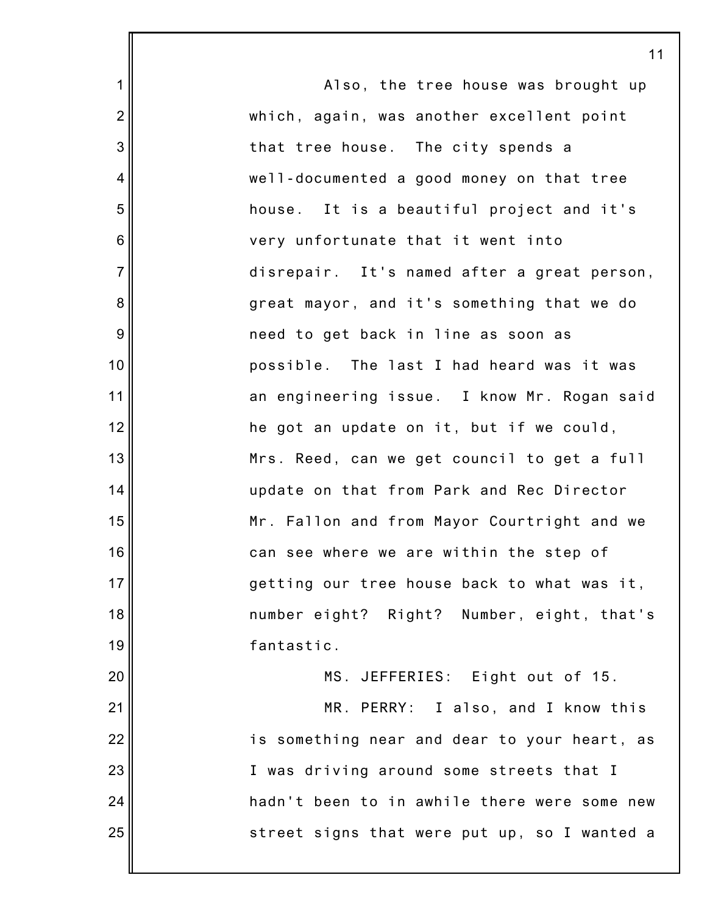1 2 3 4 5 6 7 8 9 10 11 12 13 14 15 16 17 18 19 20 21 22 23 24 25 Also, the tree house was brought up which, again, was another excellent point that tree house. The city spends a well-documented a good money on that tree house. It is a beautiful project and it's very unfortunate that it went into disrepair. It's named after a great person, great mayor, and it's something that we do need to get back in line as soon as possible. The last I had heard was it was an engineering issue. I know Mr. Rogan said he got an update on it, but if we could, Mrs. Reed, can we get council to get a full update on that from Park and Rec Director Mr. Fallon and from Mayor Courtright and we can see where we are within the step of getting our tree house back to what was it, number eight? Right? Number, eight, that's fantastic. MS. JEFFERIES: Eight out of 15. MR. PERRY: I also, and I know this is something near and dear to your heart, as I was driving around some streets that I hadn't been to in awhile there were some new street signs that were put up, so I wanted a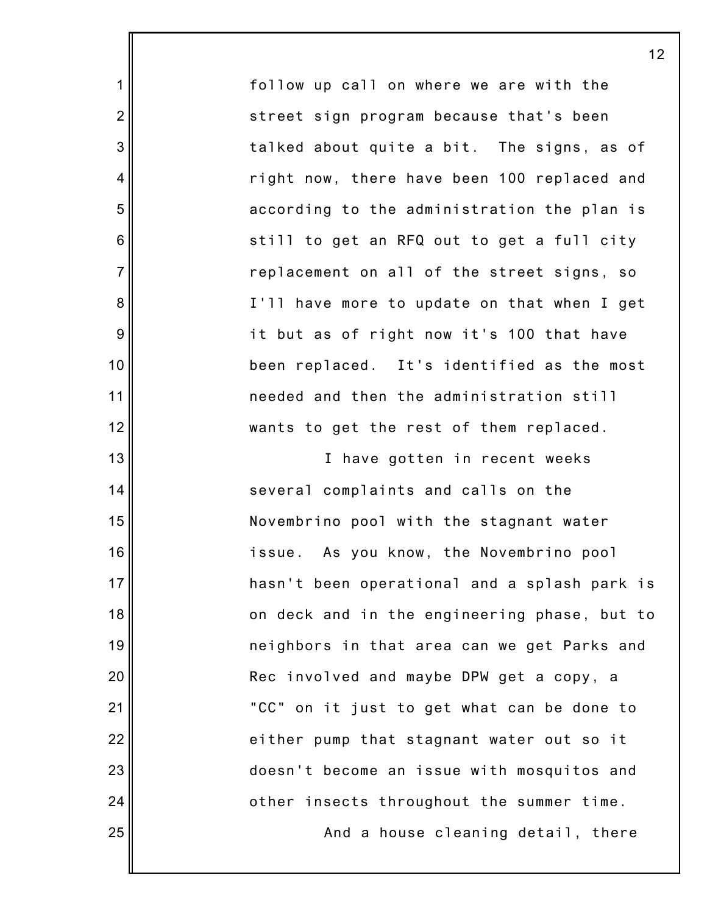follow up call on where we are with the street sign program because that's been talked about quite a bit. The signs, as of right now, there have been 100 replaced and according to the administration the plan is still to get an RFQ out to get a full city replacement on all of the street signs, so I'll have more to update on that when I get it but as of right now it's 100 that have been replaced. It's identified as the most needed and then the administration still wants to get the rest of them replaced.

1

2

3

4

5

6

7

8

9

10

11

12

13

14

15

16

17

18

19

20

21

22

23

24

25

I have gotten in recent weeks several complaints and calls on the Novembrino pool with the stagnant water issue. As you know, the Novembrino pool hasn't been operational and a splash park is on deck and in the engineering phase, but to neighbors in that area can we get Parks and Rec involved and maybe DPW get a copy, a "CC" on it just to get what can be done to either pump that stagnant water out so it doesn't become an issue with mosquitos and other insects throughout the summer time.

And a house cleaning detail, there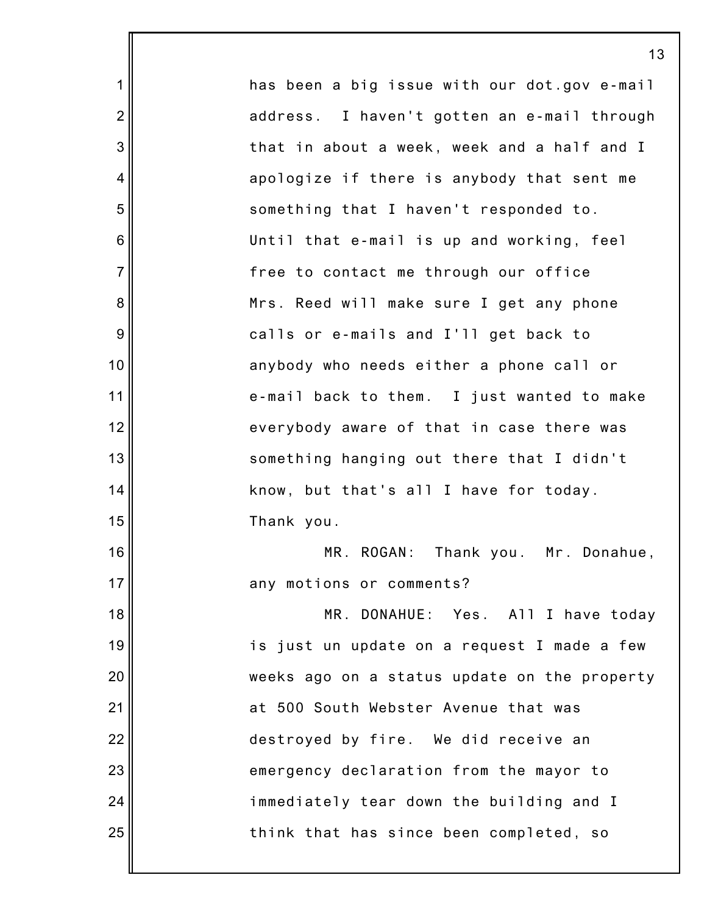1 2 3 4 5 6 7 8 9 10 11 12 13 14 15 16 17 18 19 20 21 22 23 24 25 has been a big issue with our dot.gov e-mail address. I haven't gotten an e-mail through that in about a week, week and a half and I apologize if there is anybody that sent me something that I haven't responded to. Until that e-mail is up and working, feel free to contact me through our office Mrs. Reed will make sure I get any phone calls or e-mails and I'll get back to anybody who needs either a phone call or e-mail back to them. I just wanted to make everybody aware of that in case there was something hanging out there that I didn't know, but that's all I have for today. Thank you. MR. ROGAN: Thank you. Mr. Donahue, any motions or comments? MR. DONAHUE: Yes. All I have today is just un update on a request I made a few weeks ago on a status update on the property at 500 South Webster Avenue that was destroyed by fire. We did receive an emergency declaration from the mayor to immediately tear down the building and I think that has since been completed, so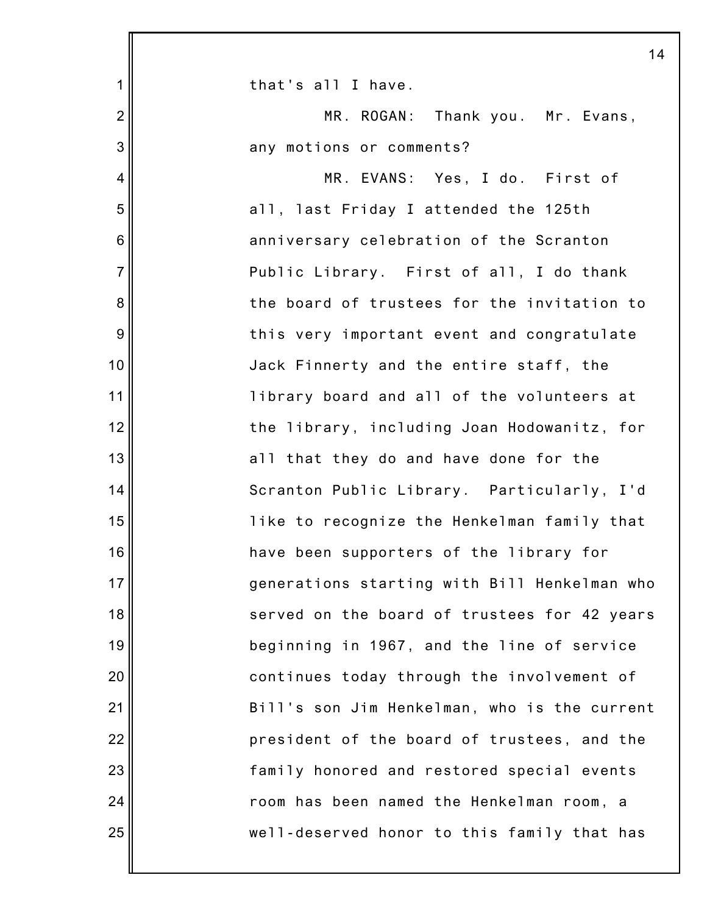|                 | 14                                           |
|-----------------|----------------------------------------------|
| 1               | that's all I have.                           |
| $\overline{2}$  | MR. ROGAN: Thank you. Mr. Evans,             |
| 3               | any motions or comments?                     |
| 4               | MR. EVANS: Yes, I do. First of               |
| 5               | all, last Friday I attended the 125th        |
| $6\phantom{1}6$ | anniversary celebration of the Scranton      |
| $\overline{7}$  | Public Library. First of all, I do thank     |
| 8               | the board of trustees for the invitation to  |
| 9               | this very important event and congratulate   |
| 10              | Jack Finnerty and the entire staff, the      |
| 11              | library board and all of the volunteers at   |
| 12              | the library, including Joan Hodowanitz, for  |
| 13              | all that they do and have done for the       |
| 14              | Scranton Public Library. Particularly, I'd   |
| 15              | like to recognize the Henkelman family that  |
| 16              | have been supporters of the library for      |
| 17              | generations starting with Bill Henkelman who |
| 18              | served on the board of trustees for 42 years |
| 19              | beginning in 1967, and the line of service   |
| 20              | continues today through the involvement of   |
| 21              | Bill's son Jim Henkelman, who is the current |
| 22              | president of the board of trustees, and the  |
| 23              | family honored and restored special events   |
| 24              | room has been named the Henkelman room, a    |
| 25              | well-deserved honor to this family that has  |
|                 |                                              |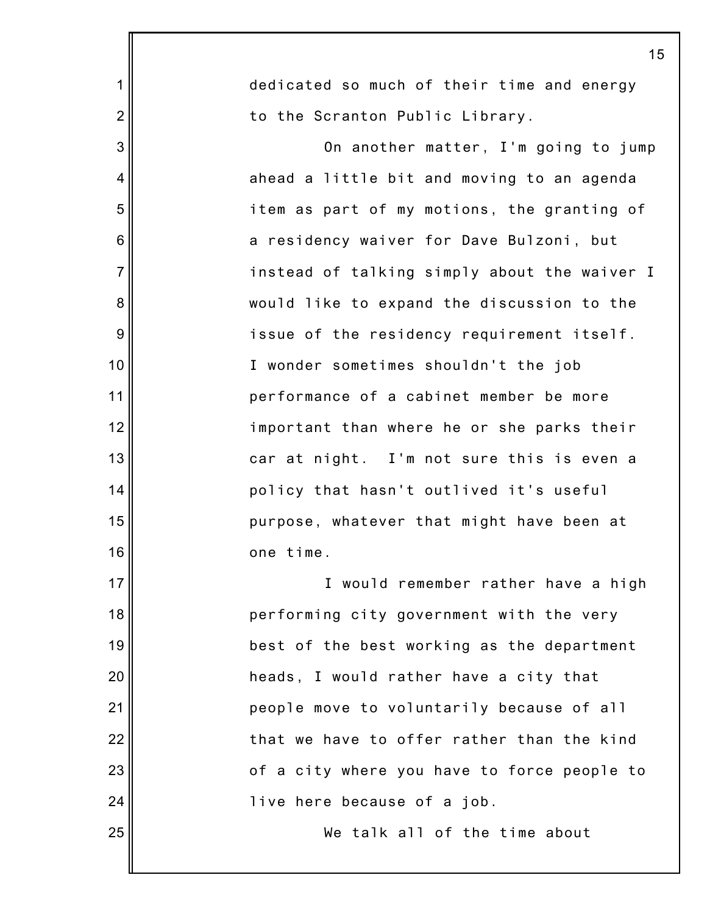|                | 15                                           |
|----------------|----------------------------------------------|
| $\mathbf 1$    | dedicated so much of their time and energy   |
| $\overline{2}$ | to the Scranton Public Library.              |
| 3              | On another matter, I'm going to jump         |
| $\overline{4}$ | ahead a little bit and moving to an agenda   |
| 5              | item as part of my motions, the granting of  |
| 6              | a residency waiver for Dave Bulzoni, but     |
| $\overline{7}$ | instead of talking simply about the waiver I |
| 8              | would like to expand the discussion to the   |
| 9              | issue of the residency requirement itself.   |
| 10             | I wonder sometimes shouldn't the job         |
| 11             | performance of a cabinet member be more      |
| 12             | important than where he or she parks their   |
| 13             | car at night. I'm not sure this is even a    |
| 14             | policy that hasn't outlived it's useful      |
| 15             | purpose, whatever that might have been at    |
| 16             | one time.                                    |
| 17             | I would remember rather have a high          |
| 18             | performing city government with the very     |
| 19             | best of the best working as the department   |
| 20             | heads, I would rather have a city that       |
| 21             | people move to voluntarily because of all    |
| 22             | that we have to offer rather than the kind   |
| 23             | of a city where you have to force people to  |
| 24             | live here because of a job.                  |
| 25             | We talk all of the time about                |
|                |                                              |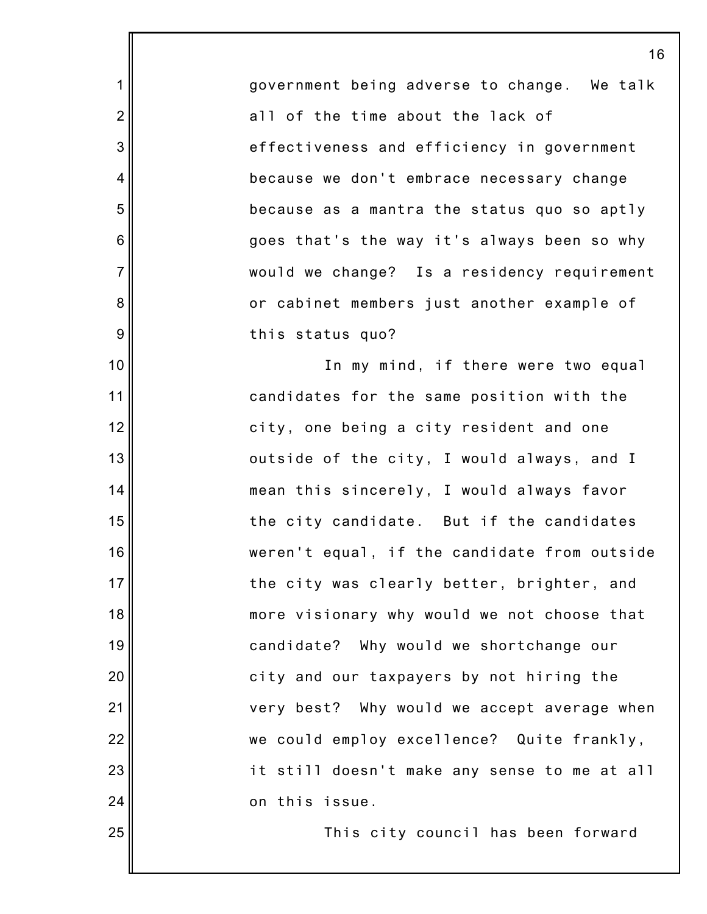government being adverse to change. We talk all of the time about the lack of effectiveness and efficiency in government because we don't embrace necessary change because as a mantra the status quo so aptly goes that's the way it's always been so why would we change? Is a residency requirement or cabinet members just another example of this status quo?

1

2

3

4

5

6

7

8

9

10

11

12

13

14

15

16

17

18

19

20

21

22

23

24

25

In my mind, if there were two equal candidates for the same position with the city, one being a city resident and one outside of the city, I would always, and I mean this sincerely, I would always favor the city candidate. But if the candidates weren't equal, if the candidate from outside the city was clearly better, brighter, and more visionary why would we not choose that candidate? Why would we shortchange our city and our taxpayers by not hiring the very best? Why would we accept average when we could employ excellence? Quite frankly, it still doesn't make any sense to me at all on this issue.

This city council has been forward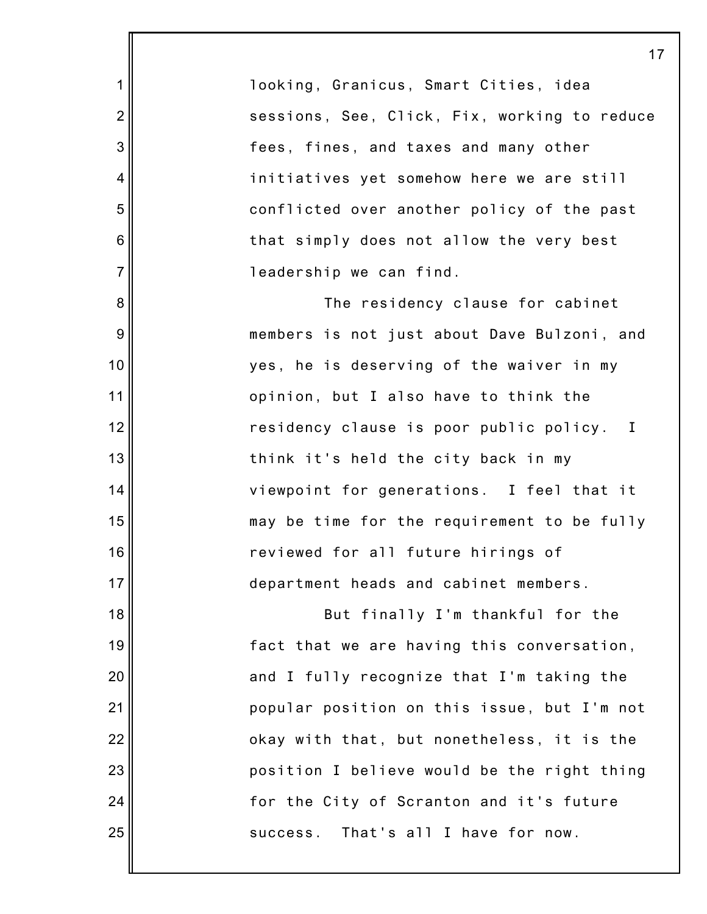looking, Granicus, Smart Cities, idea sessions, See, Click, Fix, working to reduce fees, fines, and taxes and many other initiatives yet somehow here we are still conflicted over another policy of the past that simply does not allow the very best leadership we can find.

1

2

3

4

5

6

7

8

9

10

11

12

13

14

15

16

17

18

19

20

21

22

23

24

25

The residency clause for cabinet members is not just about Dave Bulzoni, and yes, he is deserving of the waiver in my opinion, but I also have to think the residency clause is poor public policy. I think it's held the city back in my viewpoint for generations. I feel that it may be time for the requirement to be fully reviewed for all future hirings of department heads and cabinet members.

But finally I'm thankful for the fact that we are having this conversation, and I fully recognize that I'm taking the popular position on this issue, but I'm not okay with that, but nonetheless, it is the position I believe would be the right thing for the City of Scranton and it's future success. That's all I have for now.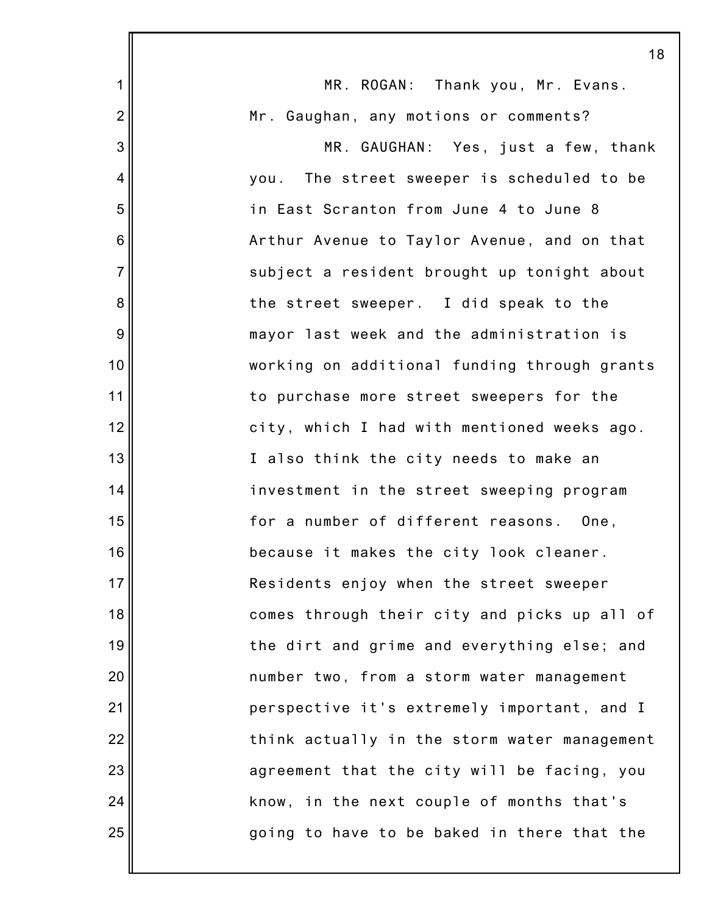|                | 18                                           |
|----------------|----------------------------------------------|
| $\mathbf{1}$   | MR. ROGAN: Thank you, Mr. Evans.             |
| $\overline{2}$ | Mr. Gaughan, any motions or comments?        |
| 3              | MR. GAUGHAN: Yes, just a few, thank          |
| $\overline{4}$ | you. The street sweeper is scheduled to be   |
| 5              | in East Scranton from June 4 to June 8       |
| 6              | Arthur Avenue to Taylor Avenue, and on that  |
| $\overline{7}$ | subject a resident brought up tonight about  |
| 8              | the street sweeper. I did speak to the       |
| 9              | mayor last week and the administration is    |
| 10             | working on additional funding through grants |
| 11             | to purchase more street sweepers for the     |
| 12             | city, which I had with mentioned weeks ago.  |
| 13             | I also think the city needs to make an       |
| 14             | investment in the street sweeping program    |
| 15             | for a number of different reasons. One,      |
| 16             | because it makes the city look cleaner.      |
| 17             | Residents enjoy when the street sweeper      |
| 18             | comes through their city and picks up all of |
| 19             | the dirt and grime and everything else; and  |
| 20             | number two, from a storm water management    |
| 21             | perspective it's extremely important, and I  |
| 22             | think actually in the storm water management |
| 23             | agreement that the city will be facing, you  |
| 24             | know, in the next couple of months that's    |
| 25             | going to have to be baked in there that the  |
|                |                                              |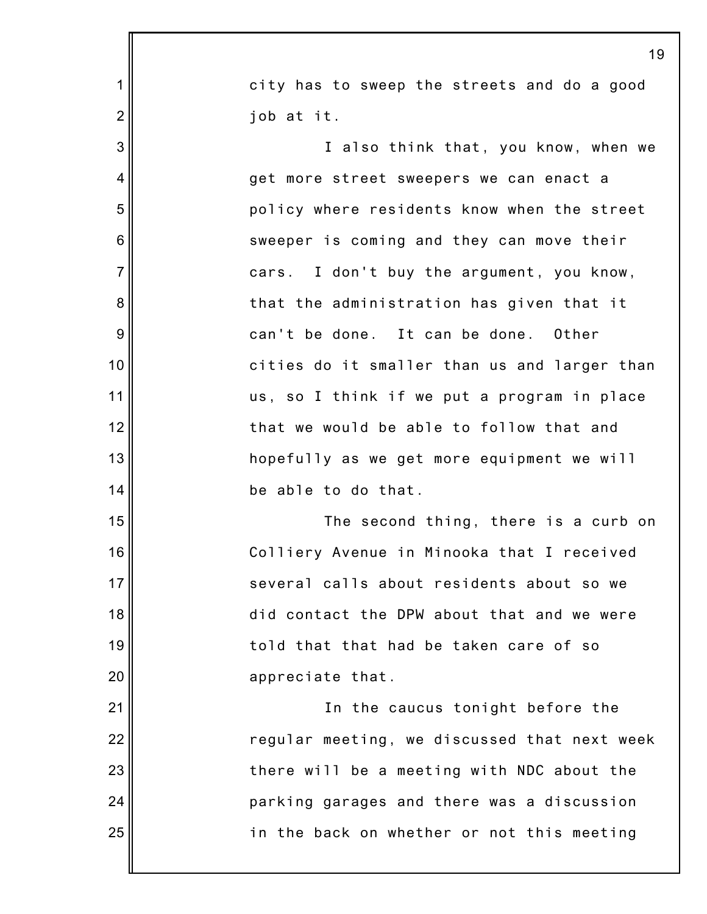|                | 19                                           |  |  |
|----------------|----------------------------------------------|--|--|
| 1              | city has to sweep the streets and do a good  |  |  |
| $\overline{2}$ | job at it.                                   |  |  |
| 3              | I also think that, you know, when we         |  |  |
| 4              | get more street sweepers we can enact a      |  |  |
| 5              | policy where residents know when the street  |  |  |
| 6              | sweeper is coming and they can move their    |  |  |
| $\overline{7}$ | cars. I don't buy the argument, you know,    |  |  |
| 8              | that the administration has given that it    |  |  |
| 9              | can't be done. It can be done. Other         |  |  |
| 10             | cities do it smaller than us and larger than |  |  |
| 11             | us, so I think if we put a program in place  |  |  |
| 12             | that we would be able to follow that and     |  |  |
| 13             | hopefully as we get more equipment we will   |  |  |
| 14             | be able to do that.                          |  |  |
| 15             | The second thing, there is a curb on         |  |  |
| 16             | Colliery Avenue in Minooka that I received   |  |  |
| 17             | several calls about residents about so we    |  |  |
| 18             | did contact the DPW about that and we were   |  |  |
| 19             | told that that had be taken care of so       |  |  |
| 20             | appreciate that.                             |  |  |
| 21             | In the caucus tonight before the             |  |  |
| 22             | regular meeting, we discussed that next week |  |  |
| 23             | there will be a meeting with NDC about the   |  |  |
| 24             | parking garages and there was a discussion   |  |  |
| 25             | in the back on whether or not this meeting   |  |  |
|                |                                              |  |  |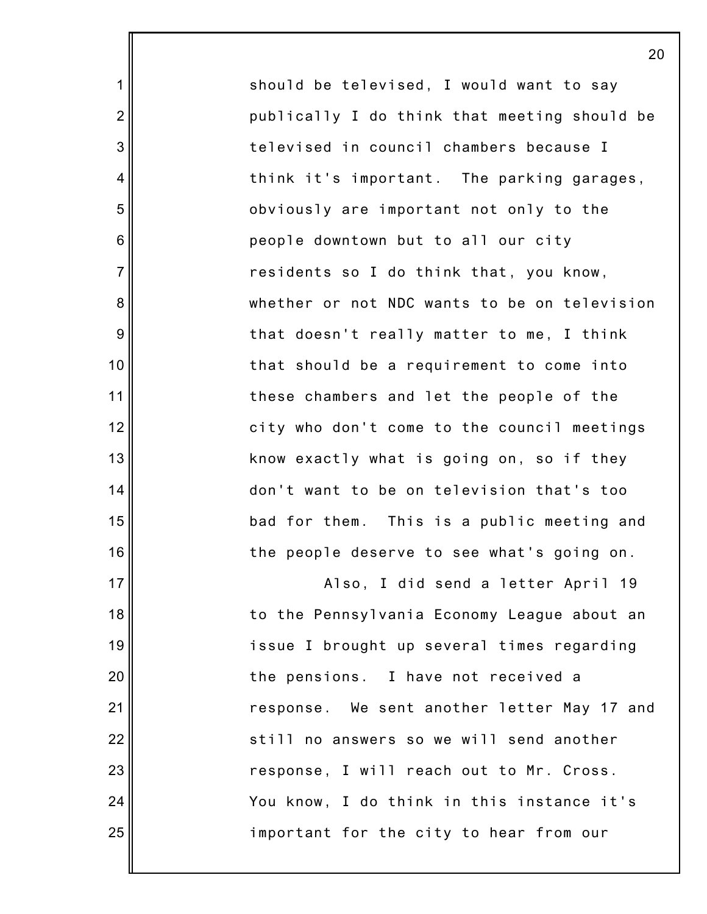should be televised, I would want to say publically I do think that meeting should be televised in council chambers because I think it's important. The parking garages, obviously are important not only to the people downtown but to all our city residents so I do think that, you know, whether or not NDC wants to be on television that doesn't really matter to me, I think that should be a requirement to come into these chambers and let the people of the city who don't come to the council meetings know exactly what is going on, so if they don't want to be on television that's too bad for them. This is a public meeting and the people deserve to see what's going on.

1

2

3

4

5

6

7

8

9

10

11

12

13

14

15

16

17

18

19

20

21

22

23

24

25

Also, I did send a letter April 19 to the Pennsylvania Economy League about an issue I brought up several times regarding the pensions. I have not received a response. We sent another letter May 17 and still no answers so we will send another response, I will reach out to Mr. Cross. You know, I do think in this instance it's important for the city to hear from our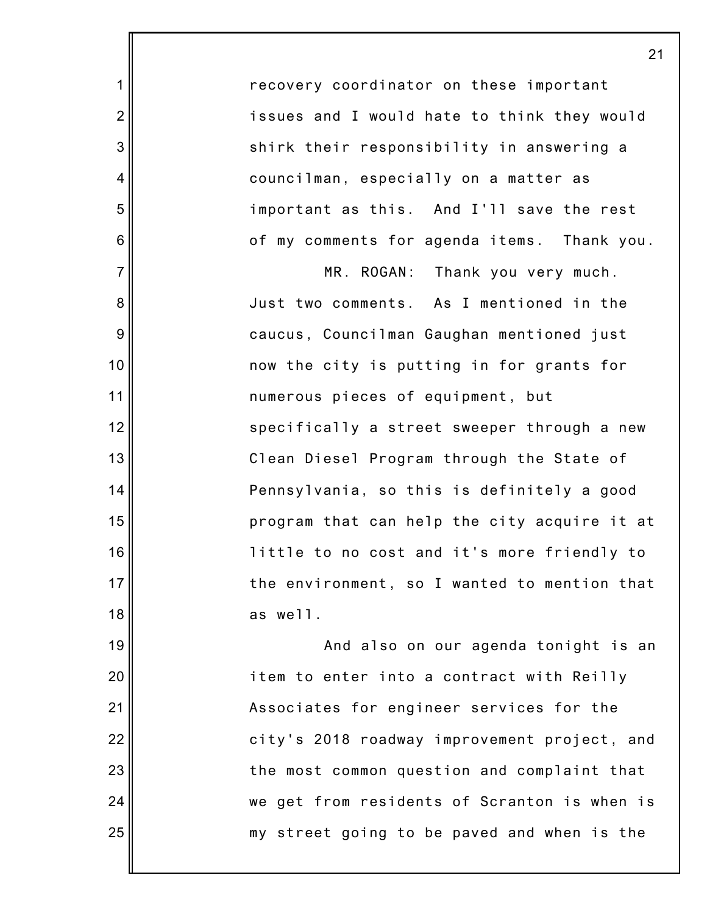recovery coordinator on these important issues and I would hate to think they would shirk their responsibility in answering a councilman, especially on a matter as important as this. And I'll save the rest of my comments for agenda items. Thank you.

1

2

3

4

5

6

7

8

9

10

11

12

13

14

15

16

17

18

19

20

21

22

23

24

25

MR. ROGAN: Thank you very much. Just two comments. As I mentioned in the caucus, Councilman Gaughan mentioned just now the city is putting in for grants for numerous pieces of equipment, but specifically a street sweeper through a new Clean Diesel Program through the State of Pennsylvania, so this is definitely a good program that can help the city acquire it at little to no cost and it's more friendly to the environment, so I wanted to mention that as well.

And also on our agenda tonight is an item to enter into a contract with Reilly Associates for engineer services for the city's 2018 roadway improvement project, and the most common question and complaint that we get from residents of Scranton is when is my street going to be paved and when is the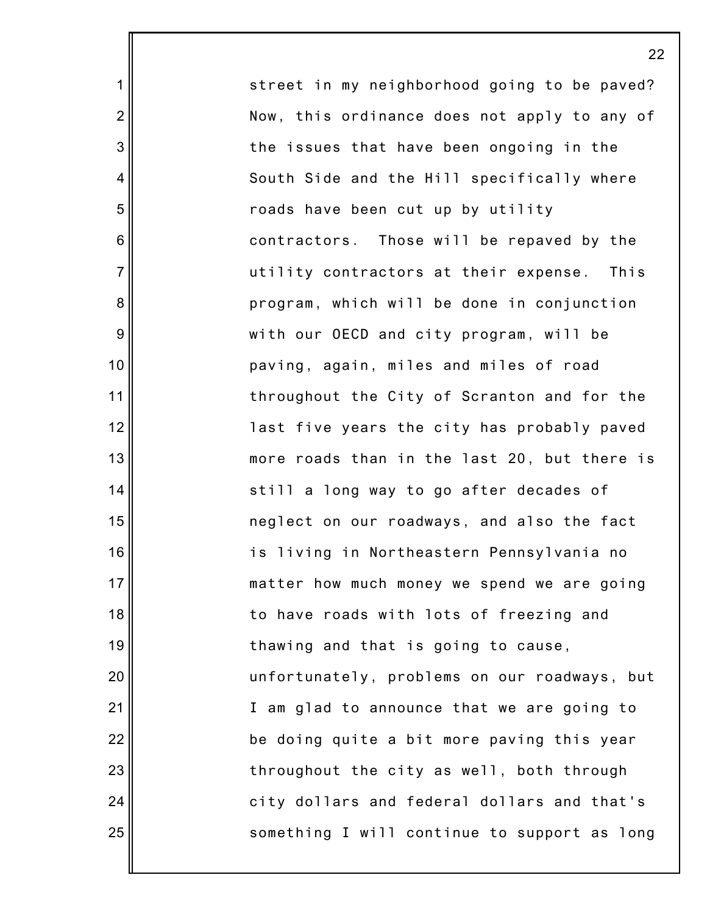street in my neighborhood going to be paved? Now, this ordinance does not apply to any of the issues that have been ongoing in the South Side and the Hill specifically where roads have been cut up by utility contractors. Those will be repaved by the utility contractors at their expense. This program, which will be done in conjunction with our OECD and city program, will be paving, again, miles and miles of road throughout the City of Scranton and for the last five years the city has probably paved more roads than in the last 20, but there is still a long way to go after decades of neglect on our roadways, and also the fact is living in Northeastern Pennsylvania no matter how much money we spend we are going to have roads with lots of freezing and thawing and that is going to cause, unfortunately, problems on our roadways, but I am glad to announce that we are going to be doing quite a bit more paving this year throughout the city as well, both through city dollars and federal dollars and that's something I will continue to support as long

1

2

3

4

5

6

7

8

9

10

11

12

13

14

15

16

17

18

19

20

21

22

23

24

25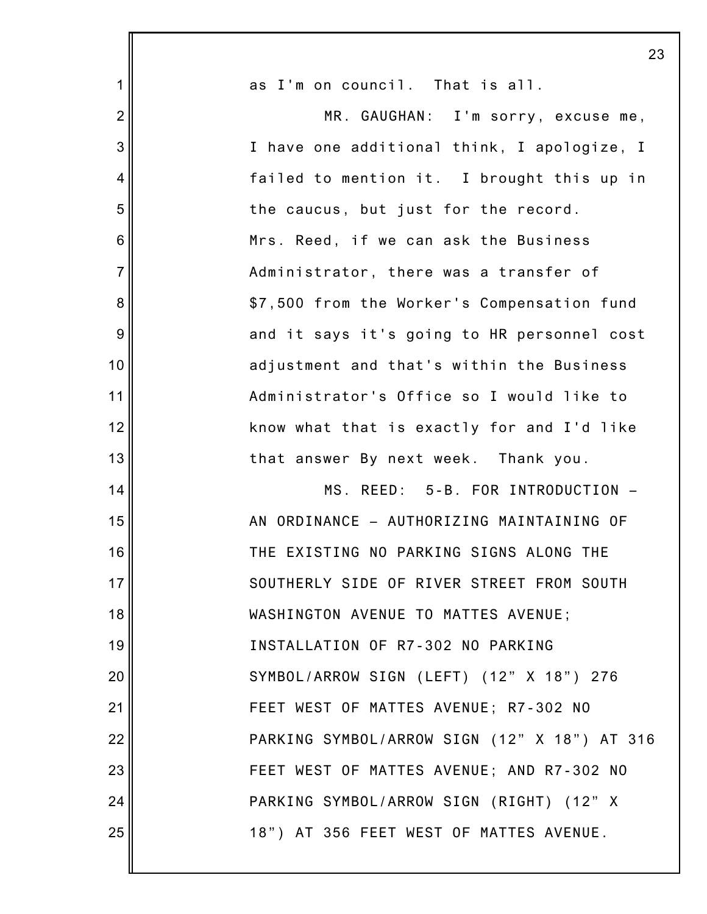|                | 23                                           |
|----------------|----------------------------------------------|
| 1              | as I'm on council. That is all.              |
| $\overline{2}$ | MR. GAUGHAN: I'm sorry, excuse me,           |
| 3              | I have one additional think, I apologize, I  |
| 4              | failed to mention it. I brought this up in   |
| 5              | the caucus, but just for the record.         |
| 6              | Mrs. Reed, if we can ask the Business        |
| $\overline{7}$ | Administrator, there was a transfer of       |
| 8              | \$7,500 from the Worker's Compensation fund  |
| $9\,$          | and it says it's going to HR personnel cost  |
| 10             | adjustment and that's within the Business    |
| 11             | Administrator's Office so I would like to    |
| 12             | know what that is exactly for and I'd like   |
| 13             | that answer By next week. Thank you.         |
| 14             | MS. REED: 5-B. FOR INTRODUCTION -            |
| 15             | AN ORDINANCE - AUTHORIZING MAINTAINING OF    |
| 16             | THE EXISTING NO PARKING SIGNS ALONG THE      |
| 17             | SOUTHERLY SIDE OF RIVER STREET FROM SOUTH    |
| 18             | WASHINGTON AVENUE TO MATTES AVENUE;          |
| 19             | INSTALLATION OF R7-302 NO PARKING            |
| 20             | SYMBOL/ARROW SIGN (LEFT) (12" X 18") 276     |
| 21             | FEET WEST OF MATTES AVENUE; R7-302 NO        |
| 22             | PARKING SYMBOL/ARROW SIGN (12" X 18") AT 316 |
| 23             | FEET WEST OF MATTES AVENUE; AND R7-302 NO    |
| 24             | PARKING SYMBOL/ARROW SIGN (RIGHT) (12" X     |
| 25             | 18") AT 356 FEET WEST OF MATTES AVENUE.      |
|                |                                              |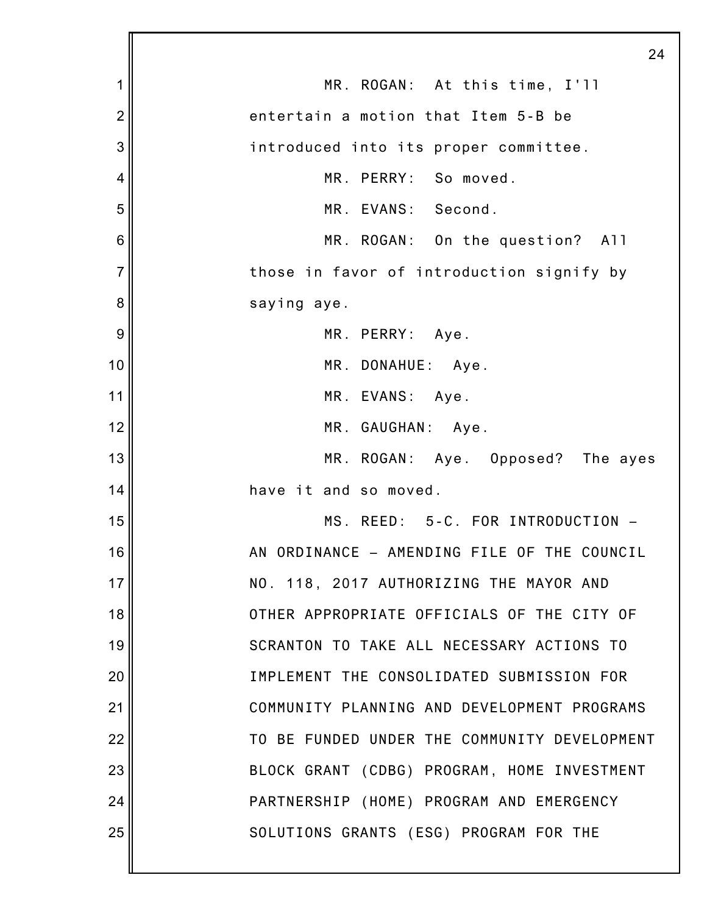|                | 24                                           |
|----------------|----------------------------------------------|
| 1              | MR. ROGAN: At this time, I'll                |
| $\overline{2}$ | entertain a motion that Item 5-B be          |
| 3              | introduced into its proper committee.        |
| 4              | MR. PERRY: So moved.                         |
| 5              | MR. EVANS: Second.                           |
| 6              | MR. ROGAN: On the question? All              |
| $\overline{7}$ | those in favor of introduction signify by    |
| 8              | saying aye.                                  |
| 9              | MR. PERRY: Aye.                              |
| 10             | MR. DONAHUE: Aye.                            |
| 11             | MR. EVANS: Aye.                              |
| 12             | MR. GAUGHAN: Aye.                            |
| 13             | MR. ROGAN: Aye. Opposed? The ayes            |
| 14             | have it and so moved.                        |
| 15             | MS. REED: 5-C. FOR INTRODUCTION -            |
| 16             | AN ORDINANCE - AMENDING FILE OF THE COUNCIL  |
| 17             | NO. 118, 2017 AUTHORIZING THE MAYOR AND      |
| 18             | OTHER APPROPRIATE OFFICIALS OF THE CITY OF   |
| 19             | SCRANTON TO TAKE ALL NECESSARY ACTIONS TO    |
| 20             | IMPLEMENT THE CONSOLIDATED SUBMISSION FOR    |
| 21             | COMMUNITY PLANNING AND DEVELOPMENT PROGRAMS  |
| 22             | TO BE FUNDED UNDER THE COMMUNITY DEVELOPMENT |
| 23             | BLOCK GRANT (CDBG) PROGRAM, HOME INVESTMENT  |
| 24             | PARTNERSHIP (HOME) PROGRAM AND EMERGENCY     |
| 25             | SOLUTIONS GRANTS (ESG) PROGRAM FOR THE       |
|                |                                              |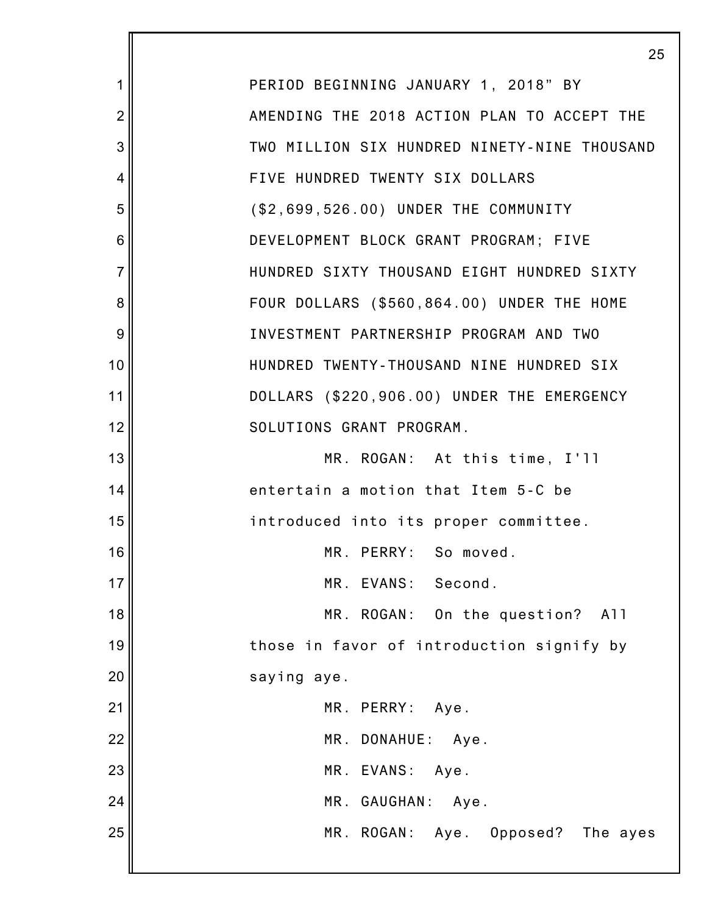7 PERIOD BEGINNING JANUARY 1, 2018" BY AMENDING THE 2018 ACTION PLAN TO ACCEPT THE TWO MILLION SIX HUNDRED NINETY-NINE THOUSAND FIVE HUNDRED TWENTY SIX DOLLARS (\$2,699,526.00) UNDER THE COMMUNITY DEVELOPMENT BLOCK GRANT PROGRAM; FIVE HUNDRED SIXTY THOUSAND EIGHT HUNDRED SIXTY FOUR DOLLARS (\$560,864.00) UNDER THE HOME INVESTMENT PARTNERSHIP PROGRAM AND TWO HUNDRED TWENTY-THOUSAND NINE HUNDRED SIX DOLLARS (\$220,906.00) UNDER THE EMERGENCY SOLUTIONS GRANT PROGRAM. MR. ROGAN: At this time, I'll entertain a motion that Item 5-C be introduced into its proper committee. MR. PERRY: So moved. MR. EVANS: Second. MR. ROGAN: On the question? All those in favor of introduction signify by saying aye. MR. PERRY: Aye. MR. DONAHUE: Aye. MR. EVANS: Aye. MR. GAUGHAN: Aye. MR. ROGAN: Aye. Opposed? The ayes

1

2

3

4

5

6

8

9

10

11

12

13

14

15

16

17

18

19

20

21

22

23

24

25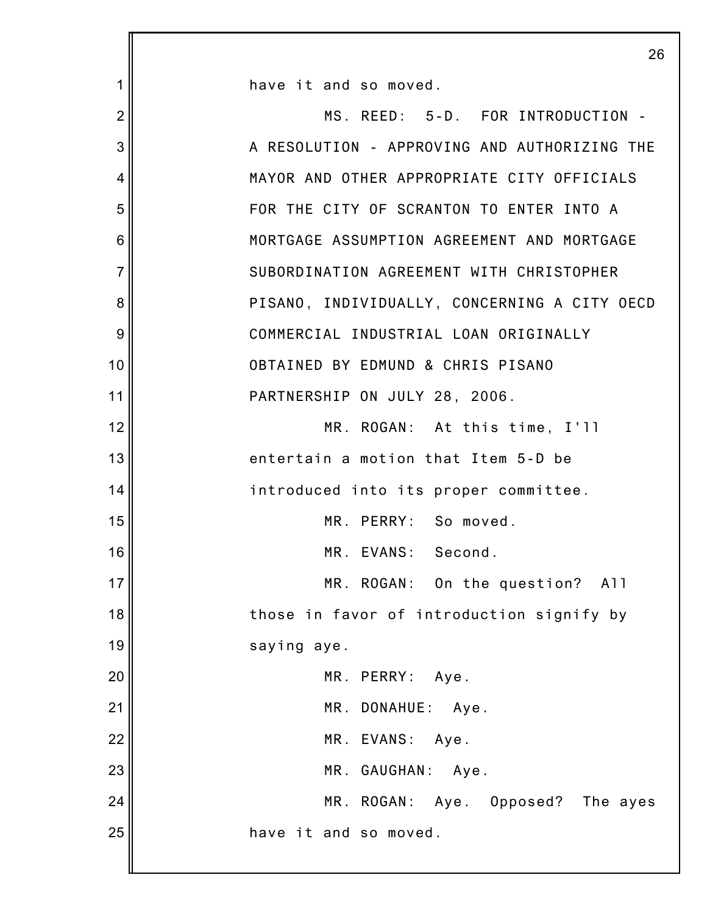|                | 26                                           |
|----------------|----------------------------------------------|
| 1              | have it and so moved.                        |
| $\overline{2}$ | MS. REED: 5-D. FOR INTRODUCTION -            |
| 3              | A RESOLUTION - APPROVING AND AUTHORIZING THE |
| 4              | MAYOR AND OTHER APPROPRIATE CITY OFFICIALS   |
| 5              | FOR THE CITY OF SCRANTON TO ENTER INTO A     |
| 6              | MORTGAGE ASSUMPTION AGREEMENT AND MORTGAGE   |
| $\overline{7}$ | SUBORDINATION AGREEMENT WITH CHRISTOPHER     |
| 8              | PISANO, INDIVIDUALLY, CONCERNING A CITY OECD |
| 9              | COMMERCIAL INDUSTRIAL LOAN ORIGINALLY        |
| 10             | OBTAINED BY EDMUND & CHRIS PISANO            |
| 11             | PARTNERSHIP ON JULY 28, 2006.                |
| 12             | MR. ROGAN: At this time, I'll                |
| 13             | entertain a motion that Item 5-D be          |
| 14             | introduced into its proper committee.        |
| 15             | MR. PERRY: So moved.                         |
| 16             | MR. EVANS:<br>Second.                        |
| 17             | MR. ROGAN: On the question? All              |
| 18             | those in favor of introduction signify by    |
| 19             | saying aye.                                  |
| 20             | MR. PERRY: Aye.                              |
| 21             | MR. DONAHUE: Aye.                            |
| 22             | MR. EVANS: Aye.                              |
| 23             | MR. GAUGHAN: Aye.                            |
| 24             | MR. ROGAN: Aye. Opposed? The ayes            |
| 25             | have it and so moved.                        |
|                |                                              |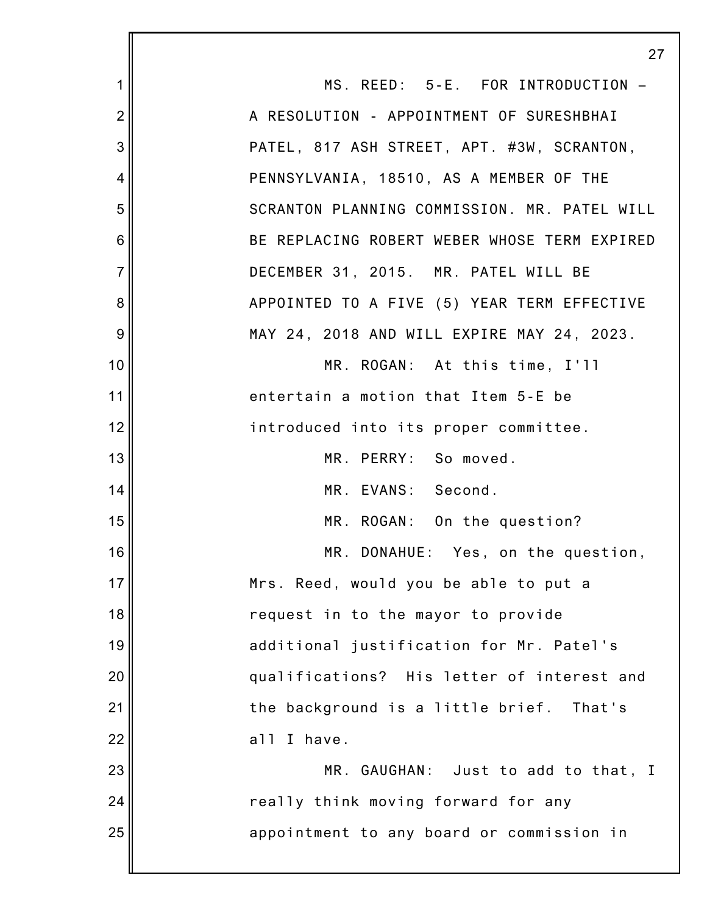|                 | 27                                           |  |
|-----------------|----------------------------------------------|--|
| 1               | MS. REED: 5-E. FOR INTRODUCTION -            |  |
| $\overline{2}$  | A RESOLUTION - APPOINTMENT OF SURESHBHAI     |  |
| 3               | PATEL, 817 ASH STREET, APT. #3W, SCRANTON,   |  |
| 4               | PENNSYLVANIA, 18510, AS A MEMBER OF THE      |  |
| 5               | SCRANTON PLANNING COMMISSION. MR. PATEL WILL |  |
| $6\phantom{1}6$ | BE REPLACING ROBERT WEBER WHOSE TERM EXPIRED |  |
| $\overline{7}$  | DECEMBER 31, 2015. MR. PATEL WILL BE         |  |
| 8               | APPOINTED TO A FIVE (5) YEAR TERM EFFECTIVE  |  |
| 9               | MAY 24, 2018 AND WILL EXPIRE MAY 24, 2023.   |  |
| 10              | MR. ROGAN: At this time, I'll                |  |
| 11              | entertain a motion that Item 5-E be          |  |
| 12              | introduced into its proper committee.        |  |
| 13              | MR. PERRY: So moved.                         |  |
| 14              | MR. EVANS: Second.                           |  |
| 15              | MR. ROGAN: On the question?                  |  |
| 16              | MR. DONAHUE: Yes, on the question,           |  |
| 17              | Mrs. Reed, would you be able to put a        |  |
| 18              | request in to the mayor to provide           |  |
| 19              | additional justification for Mr. Patel's     |  |
| 20              | qualifications? His letter of interest and   |  |
| 21              | the background is a little brief.<br>That's  |  |
| 22              | all I have.                                  |  |
| 23              | MR. GAUGHAN: Just to add to that, I          |  |
| 24              | really think moving forward for any          |  |
| 25              | appointment to any board or commission in    |  |
|                 |                                              |  |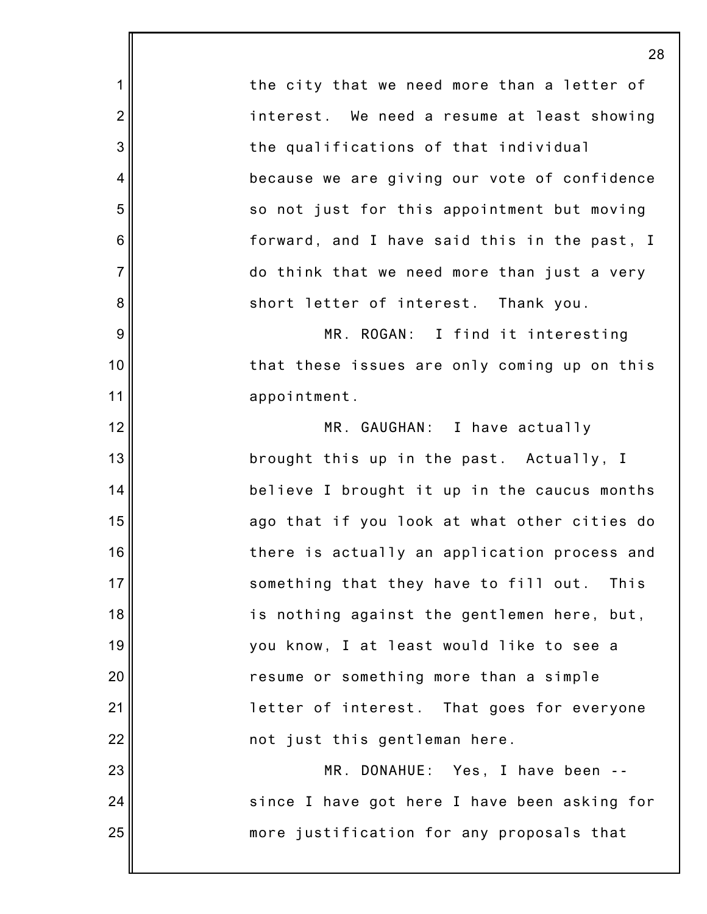the city that we need more than a letter of interest. We need a resume at least showing the qualifications of that individual because we are giving our vote of confidence so not just for this appointment but moving forward, and I have said this in the past, I do think that we need more than just a very short letter of interest. Thank you. MR. ROGAN: I find it interesting that these issues are only coming up on this appointment. MR. GAUGHAN: I have actually brought this up in the past. Actually, I believe I brought it up in the caucus months ago that if you look at what other cities do there is actually an application process and something that they have to fill out. This is nothing against the gentlemen here, but, you know, I at least would like to see a resume or something more than a simple letter of interest. That goes for everyone not just this gentleman here. MR. DONAHUE: Yes, I have been - since I have got here I have been asking for

more justification for any proposals that

1

2

3

4

5

6

7

8

9

10

11

12

13

14

15

16

17

18

19

20

21

22

23

24

25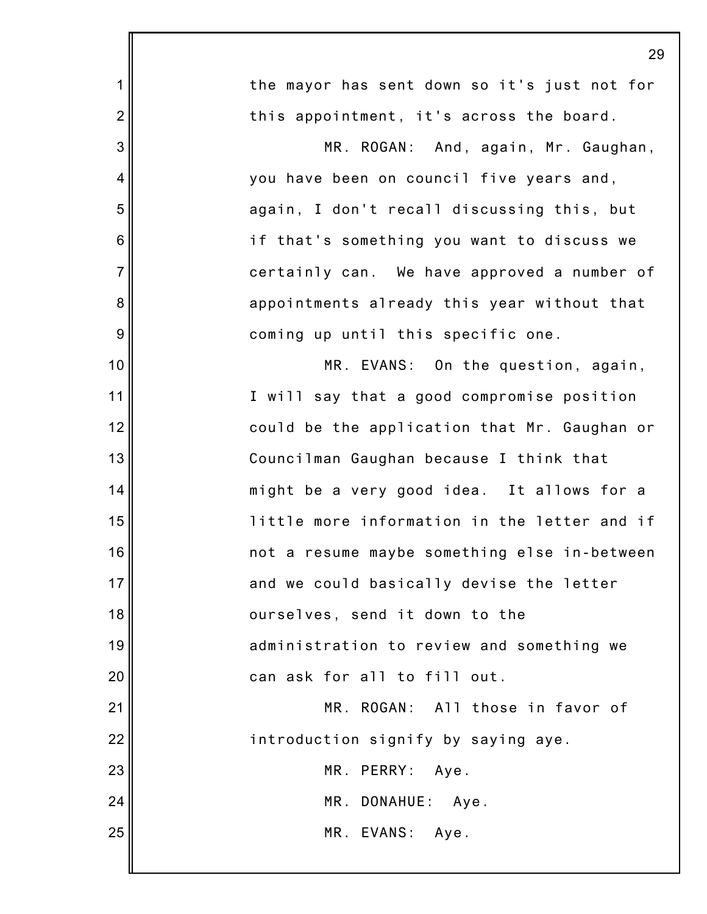|                | 29                                           |  |  |
|----------------|----------------------------------------------|--|--|
| 1              | the mayor has sent down so it's just not for |  |  |
| $\overline{2}$ | this appointment, it's across the board.     |  |  |
| 3              | MR. ROGAN: And, again, Mr. Gaughan,          |  |  |
| $\overline{4}$ | you have been on council five years and,     |  |  |
| 5              | again, I don't recall discussing this, but   |  |  |
| 6              | if that's something you want to discuss we   |  |  |
| $\overline{7}$ | certainly can. We have approved a number of  |  |  |
| 8              | appointments already this year without that  |  |  |
| 9              | coming up until this specific one.           |  |  |
| 10             | MR. EVANS: On the question, again,           |  |  |
| 11             | I will say that a good compromise position   |  |  |
| 12             | could be the application that Mr. Gaughan or |  |  |
| 13             | Councilman Gaughan because I think that      |  |  |
| 14             | might be a very good idea. It allows for a   |  |  |
| 15             | little more information in the letter and if |  |  |
| 16             | not a resume maybe something else in-between |  |  |
| 17             | and we could basically devise the letter     |  |  |
| 18             | ourselves, send it down to the               |  |  |
| 19             | administration to review and something we    |  |  |
| 20             | can ask for all to fill out.                 |  |  |
| 21             | MR. ROGAN: All those in favor of             |  |  |
| 22             | introduction signify by saying aye.          |  |  |
| 23             | MR. PERRY:<br>Aye.                           |  |  |
| 24             | MR. DONAHUE: Aye.                            |  |  |
| 25             | MR. EVANS: Aye.                              |  |  |
|                |                                              |  |  |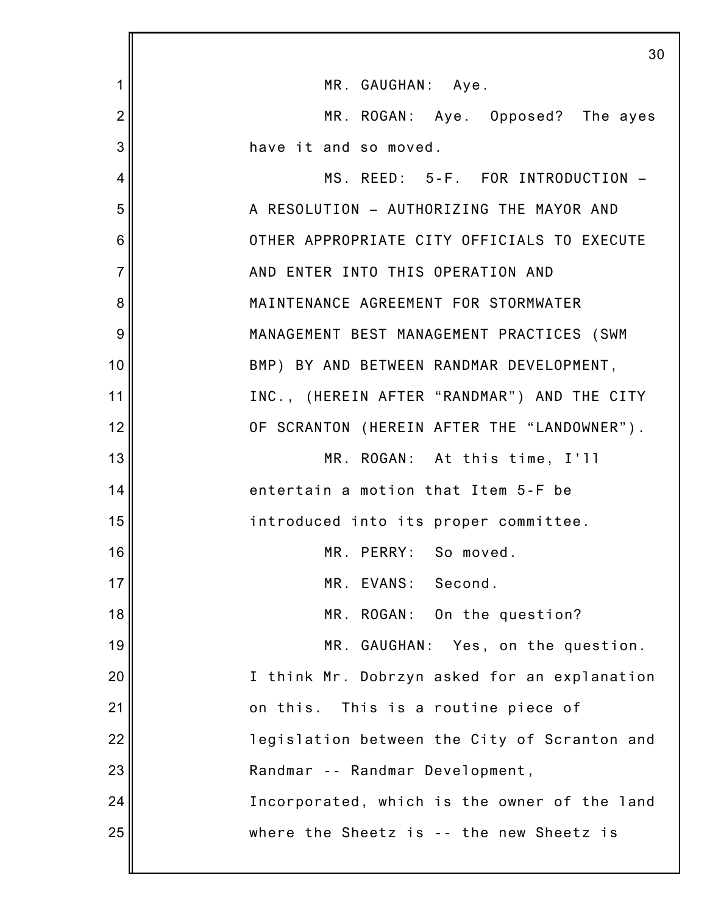|                | 30                                           |
|----------------|----------------------------------------------|
| 1              | MR. GAUGHAN: Aye.                            |
| $\overline{2}$ | MR. ROGAN: Aye. Opposed? The ayes            |
| 3              | have it and so moved.                        |
| 4              | MS. REED: 5-F. FOR INTRODUCTION -            |
| 5              | A RESOLUTION - AUTHORIZING THE MAYOR AND     |
| 6              | OTHER APPROPRIATE CITY OFFICIALS TO EXECUTE  |
| $\overline{7}$ | AND ENTER INTO THIS OPERATION AND            |
| 8              | MAINTENANCE AGREEMENT FOR STORMWATER         |
| 9              | MANAGEMENT BEST MANAGEMENT PRACTICES (SWM    |
| 10             | BMP) BY AND BETWEEN RANDMAR DEVELOPMENT,     |
| 11             | INC., (HEREIN AFTER "RANDMAR") AND THE CITY  |
| 12             | OF SCRANTON (HEREIN AFTER THE "LANDOWNER").  |
| 13             | MR. ROGAN: At this time, I'll                |
| 14             | entertain a motion that Item 5-F be          |
| 15             | introduced into its proper committee.        |
| 16             | MR. PERRY: So moved.                         |
| 17             | MR. EVANS: Second.                           |
| 18             | MR. ROGAN: On the question?                  |
| 19             | MR. GAUGHAN: Yes, on the question.           |
| 20             | I think Mr. Dobrzyn asked for an explanation |
| 21             | This is a routine piece of<br>on this.       |
| 22             | legislation between the City of Scranton and |
| 23             | Randmar -- Randmar Development,              |
| 24             | Incorporated, which is the owner of the land |
| 25             | where the Sheetz is -- the new Sheetz is     |
|                |                                              |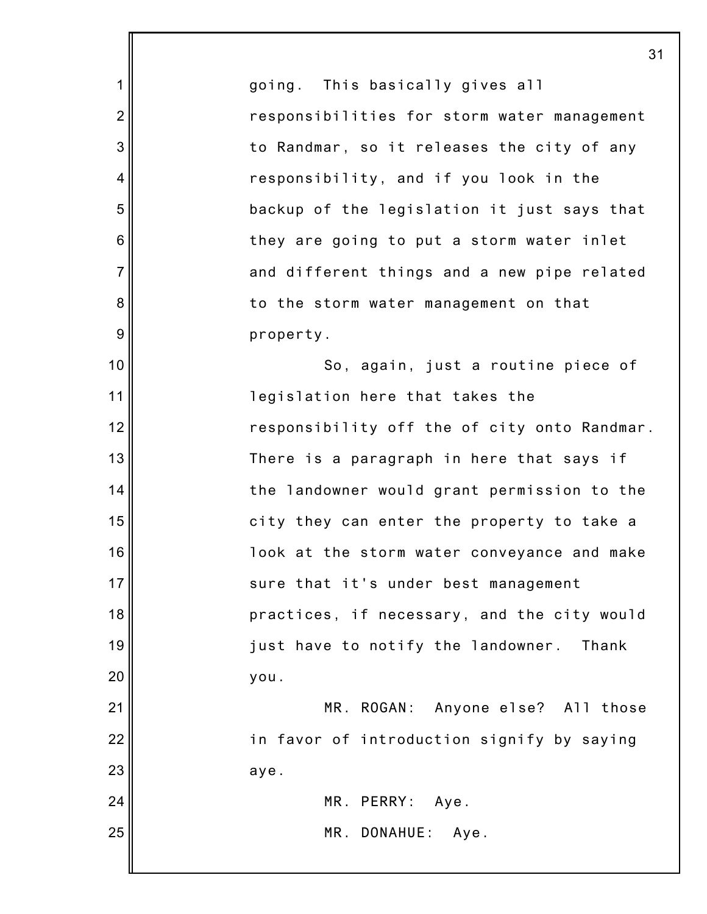1 2 3 4 5 6 7 8 9 10 11 12 13 14 15 16 17 18 19 20 21 22 23 24 25 going. This basically gives all responsibilities for storm water management to Randmar, so it releases the city of any responsibility, and if you look in the backup of the legislation it just says that they are going to put a storm water inlet and different things and a new pipe related to the storm water management on that property. So, again, just a routine piece of legislation here that takes the responsibility off the of city onto Randmar. There is a paragraph in here that says if the landowner would grant permission to the city they can enter the property to take a look at the storm water conveyance and make sure that it's under best management practices, if necessary, and the city would just have to notify the landowner. Thank you. MR. ROGAN: Anyone else? All those in favor of introduction signify by saying aye. MR. PERRY: Aye. MR. DONAHUE: Aye.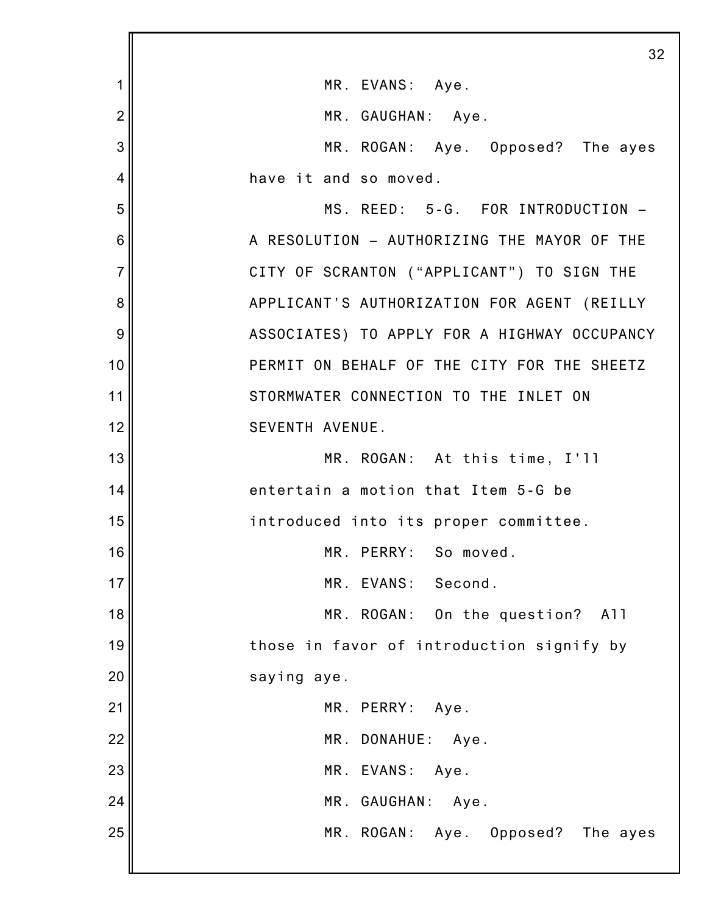|                 | 32                                           |
|-----------------|----------------------------------------------|
| 1               | MR. EVANS: Aye.                              |
| $\overline{2}$  | MR. GAUGHAN: Aye.                            |
| 3               | MR. ROGAN: Aye. Opposed? The ayes            |
| 4               | have it and so moved.                        |
| 5               | MS. REED: 5-G. FOR INTRODUCTION -            |
| $6\phantom{1}6$ | A RESOLUTION - AUTHORIZING THE MAYOR OF THE  |
| $\overline{7}$  | CITY OF SCRANTON ("APPLICANT") TO SIGN THE   |
| 8               | APPLICANT'S AUTHORIZATION FOR AGENT (REILLY  |
| 9               | ASSOCIATES) TO APPLY FOR A HIGHWAY OCCUPANCY |
| 10              | PERMIT ON BEHALF OF THE CITY FOR THE SHEETZ  |
| 11              | STORMWATER CONNECTION TO THE INLET ON        |
| 12              | SEVENTH AVENUE.                              |
| 13              | MR. ROGAN: At this time, I'll                |
| 14              | entertain a motion that Item 5-G be          |
| 15              | introduced into its proper committee.        |
| 16              | MR. PERRY:<br>So moved.                      |
| 17              | MR. EVANS: Second.                           |
| 18              | MR. ROGAN: On the question?<br>A11           |
| 19              | those in favor of introduction signify by    |
| 20              | saying aye.                                  |
| 21              | MR. PERRY: Aye.                              |
| 22              | MR. DONAHUE: Aye.                            |
| 23              | MR. EVANS:<br>Aye.                           |
| 24              | MR. GAUGHAN: Aye.                            |
| 25              | MR. ROGAN: Aye. Opposed? The ayes            |
|                 |                                              |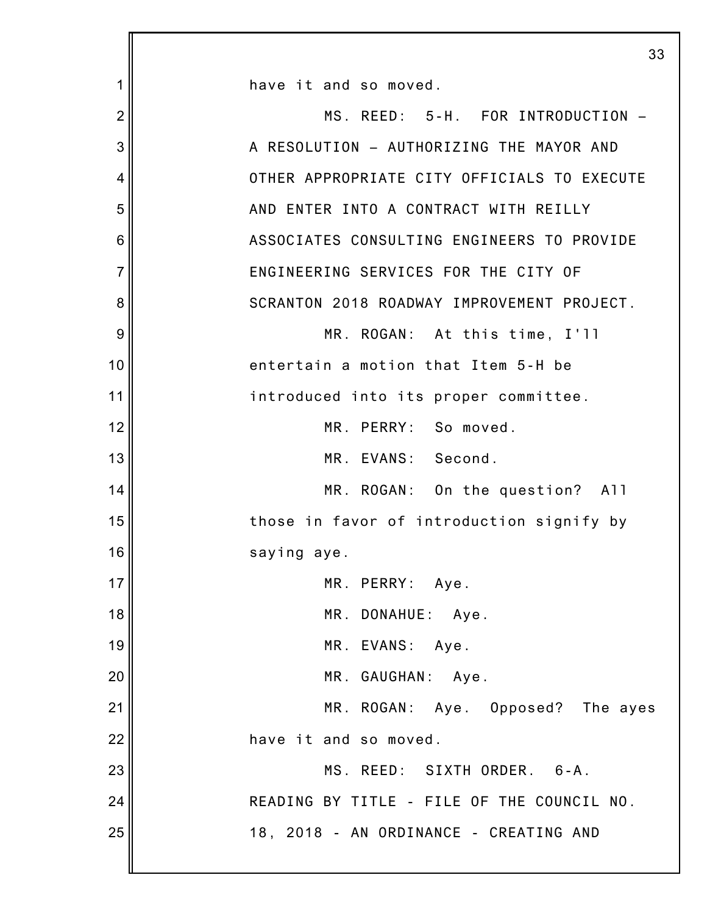|                | 33                                          |
|----------------|---------------------------------------------|
| 1              | have it and so moved.                       |
| $\overline{2}$ | MS. REED: 5-H. FOR INTRODUCTION -           |
| 3              | A RESOLUTION - AUTHORIZING THE MAYOR AND    |
| 4              | OTHER APPROPRIATE CITY OFFICIALS TO EXECUTE |
| 5              | AND ENTER INTO A CONTRACT WITH REILLY       |
| 6              | ASSOCIATES CONSULTING ENGINEERS TO PROVIDE  |
| $\overline{7}$ | ENGINEERING SERVICES FOR THE CITY OF        |
| 8              | SCRANTON 2018 ROADWAY IMPROVEMENT PROJECT.  |
| 9              | MR. ROGAN: At this time, I'll               |
| 10             | entertain a motion that Item 5-H be         |
| 11             | introduced into its proper committee.       |
| 12             | MR. PERRY: So moved.                        |
| 13             | MR. EVANS: Second.                          |
| 14             | MR. ROGAN: On the question? All             |
| 15             | those in favor of introduction signify by   |
| 16             | saying aye.                                 |
| 17             | MR. PERRY: Aye.                             |
| 18             | MR. DONAHUE: Aye.                           |
| 19             | MR. EVANS: Aye.                             |
| 20             | MR. GAUGHAN: Aye.                           |
| 21             | MR. ROGAN: Aye. Opposed? The ayes           |
| 22             | have it and so moved.                       |
| 23             | MS. REED: SIXTH ORDER. 6-A.                 |
| 24             | READING BY TITLE - FILE OF THE COUNCIL NO.  |
| 25             | 18, 2018 - AN ORDINANCE - CREATING AND      |
|                |                                             |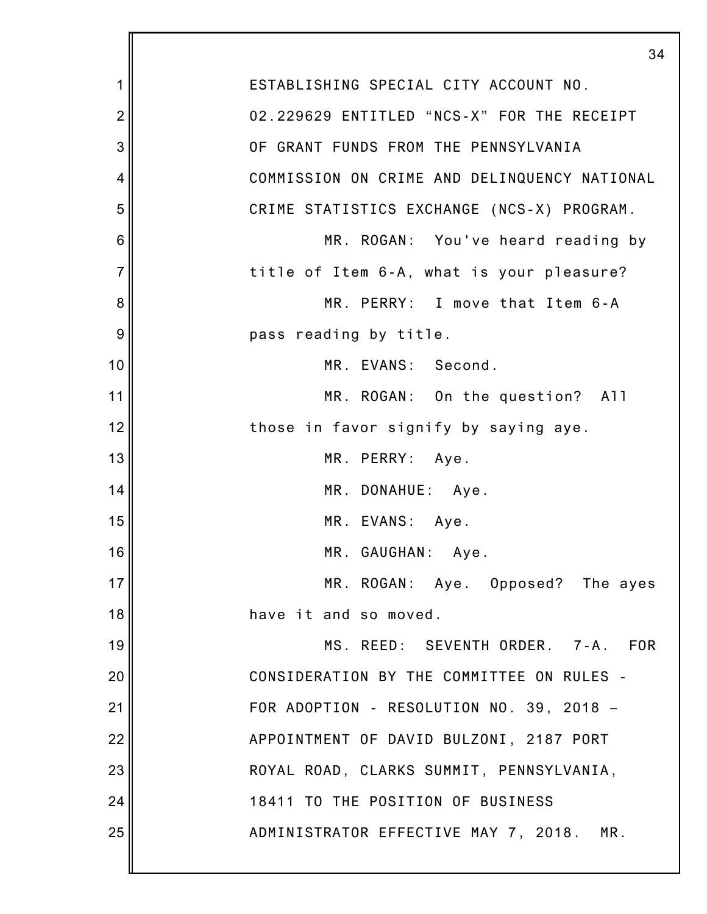|                | 34                                           |
|----------------|----------------------------------------------|
| 1              | ESTABLISHING SPECIAL CITY ACCOUNT NO.        |
| $\overline{2}$ | 02.229629 ENTITLED "NCS-X" FOR THE RECEIPT   |
| 3              | OF GRANT FUNDS FROM THE PENNSYLVANIA         |
| 4              | COMMISSION ON CRIME AND DELINQUENCY NATIONAL |
| 5              | CRIME STATISTICS EXCHANGE (NCS-X) PROGRAM.   |
| 6              | MR. ROGAN: You've heard reading by           |
| $\overline{7}$ | title of Item 6-A, what is your pleasure?    |
| 8              | MR. PERRY: I move that Item 6-A              |
| 9              | pass reading by title.                       |
| 10             | MR. EVANS: Second.                           |
| 11             | MR. ROGAN: On the question? All              |
| 12             | those in favor signify by saying aye.        |
| 13             | MR. PERRY: Aye.                              |
| 14             | MR. DONAHUE: Aye.                            |
| 15             | MR. EVANS: Aye.                              |
| 16             | MR. GAUGHAN: Aye.                            |
| 17             | MR. ROGAN: Aye. Opposed? The ayes            |
| 18             | have it and so moved.                        |
| 19             | MS. REED: SEVENTH ORDER. 7-A.<br><b>FOR</b>  |
| 20             | CONSIDERATION BY THE COMMITTEE ON RULES -    |
| 21             | FOR ADOPTION - RESOLUTION NO. 39, 2018 -     |
| 22             | APPOINTMENT OF DAVID BULZONI, 2187 PORT      |
| 23             | ROYAL ROAD, CLARKS SUMMIT, PENNSYLVANIA,     |
| 24             | 18411 TO THE POSITION OF BUSINESS            |
| 25             | ADMINISTRATOR EFFECTIVE MAY 7, 2018.<br>MR.  |
|                |                                              |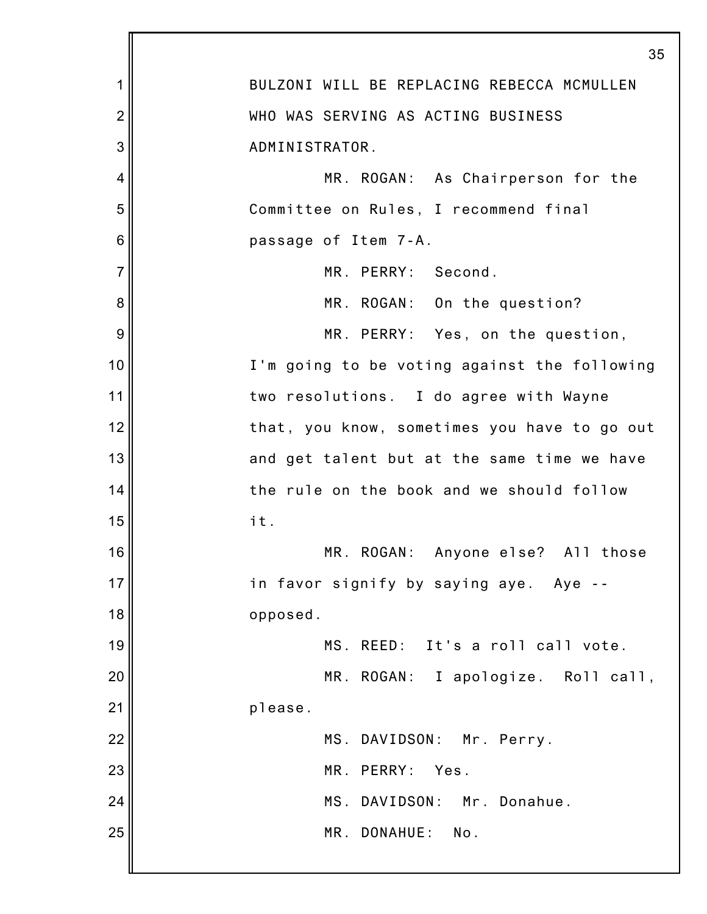|                | 35                                           |
|----------------|----------------------------------------------|
| 1              | BULZONI WILL BE REPLACING REBECCA MCMULLEN   |
| $\overline{2}$ | WHO WAS SERVING AS ACTING BUSINESS           |
| 3              | ADMINISTRATOR.                               |
| 4              | MR. ROGAN: As Chairperson for the            |
| 5              | Committee on Rules, I recommend final        |
| 6              | passage of Item 7-A.                         |
| $\overline{7}$ | MR. PERRY: Second.                           |
| 8              | MR. ROGAN: On the question?                  |
| 9              | MR. PERRY: Yes, on the question,             |
| 10             | I'm going to be voting against the following |
| 11             | two resolutions. I do agree with Wayne       |
| 12             | that, you know, sometimes you have to go out |
| 13             | and get talent but at the same time we have  |
| 14             | the rule on the book and we should follow    |
| 15             | it.                                          |
| 16             | MR. ROGAN: Anyone else? All those            |
| 17             | in favor signify by saying aye. Aye          |
| 18             | opposed.                                     |
| 19             | MS. REED: It's a roll call vote.             |
| 20             | MR. ROGAN: I apologize. Roll call,           |
| 21             | please.                                      |
| 22             | MS. DAVIDSON: Mr. Perry.                     |
| 23             | MR. PERRY:<br>Yes.                           |
| 24             | MS. DAVIDSON: Mr. Donahue.                   |
| 25             | MR. DONAHUE: No.                             |
|                |                                              |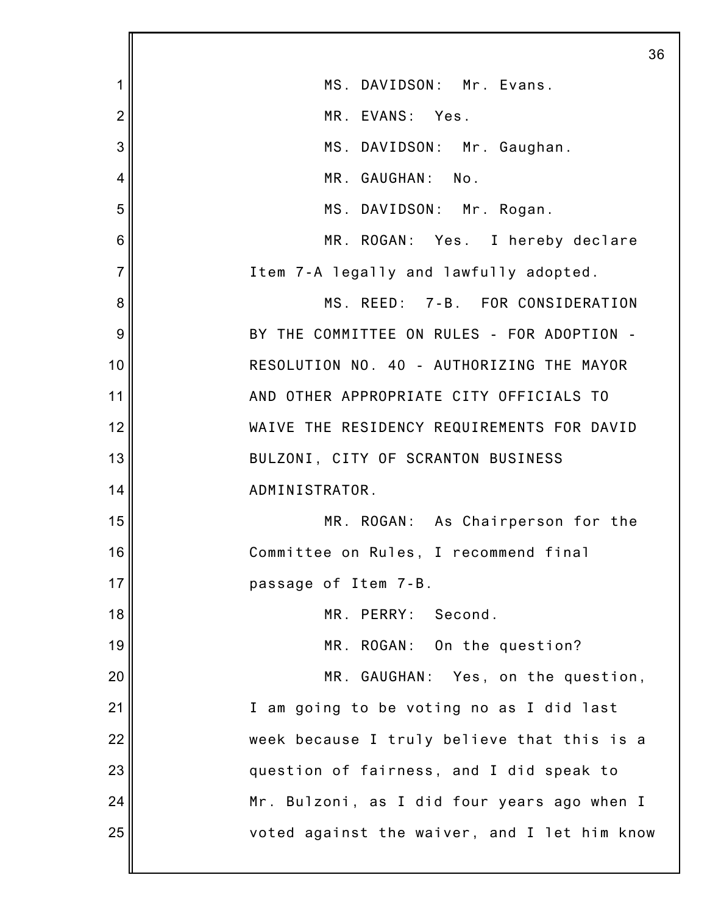|                |                                              | 36 |
|----------------|----------------------------------------------|----|
| 1              | MS. DAVIDSON: Mr. Evans.                     |    |
| $\overline{2}$ | MR. EVANS: Yes.                              |    |
| 3              | MS. DAVIDSON: Mr. Gaughan.                   |    |
| 4              | MR. GAUGHAN: No.                             |    |
| 5              | MS. DAVIDSON: Mr. Rogan.                     |    |
| 6              | MR. ROGAN: Yes. I hereby declare             |    |
| 7              | Item 7-A legally and lawfully adopted.       |    |
| 8              | MS. REED: 7-B. FOR CONSIDERATION             |    |
| 9              | BY THE COMMITTEE ON RULES - FOR ADOPTION -   |    |
| 10             | RESOLUTION NO. 40 - AUTHORIZING THE MAYOR    |    |
| 11             | AND OTHER APPROPRIATE CITY OFFICIALS TO      |    |
| 12             | WAIVE THE RESIDENCY REQUIREMENTS FOR DAVID   |    |
| 13             | BULZONI, CITY OF SCRANTON BUSINESS           |    |
| 14             | ADMINISTRATOR.                               |    |
| 15             | MR. ROGAN: As Chairperson for the            |    |
| 16             | Committee on Rules, I recommend final        |    |
| 17             | passage of Item 7-B.                         |    |
| 18             | MR. PERRY: Second.                           |    |
| 19             | MR. ROGAN: On the question?                  |    |
| 20             | MR. GAUGHAN: Yes, on the question,           |    |
| 21             | I am going to be voting no as I did last     |    |
| 22             | week because I truly believe that this is a  |    |
| 23             | question of fairness, and I did speak to     |    |
| 24             | Mr. Bulzoni, as I did four years ago when I  |    |
| 25             | voted against the waiver, and I let him know |    |
|                |                                              |    |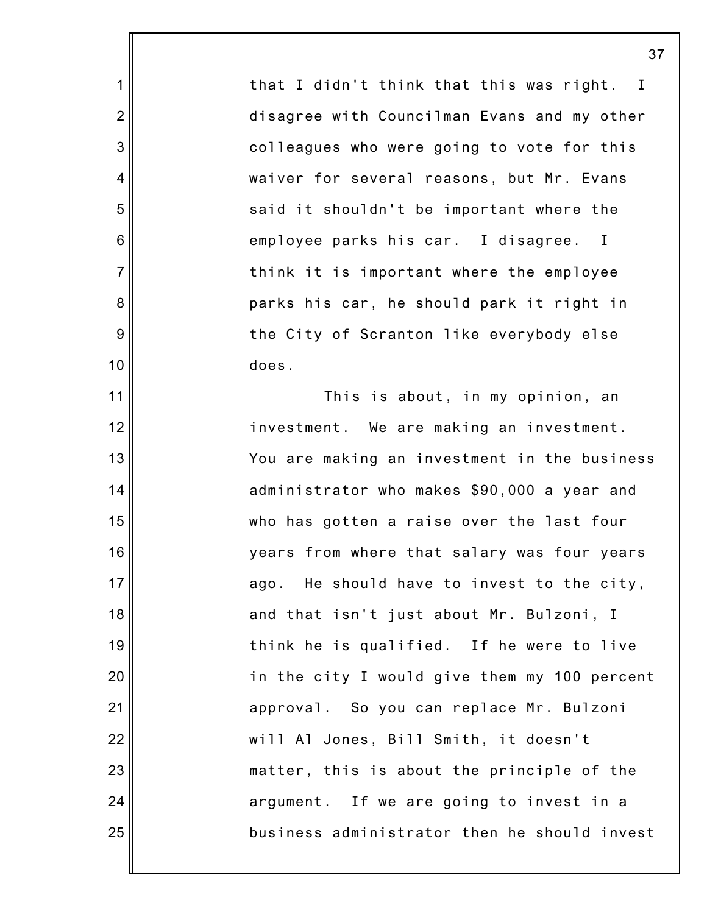that I didn't think that this was right. I disagree with Councilman Evans and my other colleagues who were going to vote for this waiver for several reasons, but Mr. Evans said it shouldn't be important where the employee parks his car. I disagree. I think it is important where the employee parks his car, he should park it right in the City of Scranton like everybody else does.

1

2

3

4

5

6

7

8

9

10

11

12

13

14

15

16

17

18

19

20

21

22

23

24

25

This is about, in my opinion, an investment. We are making an investment. You are making an investment in the business administrator who makes \$90,000 a year and who has gotten a raise over the last four years from where that salary was four years ago. He should have to invest to the city, and that isn't just about Mr. Bulzoni, I think he is qualified. If he were to live in the city I would give them my 100 percent approval. So you can replace Mr. Bulzoni will Al Jones, Bill Smith, it doesn't matter, this is about the principle of the argument. If we are going to invest in a business administrator then he should invest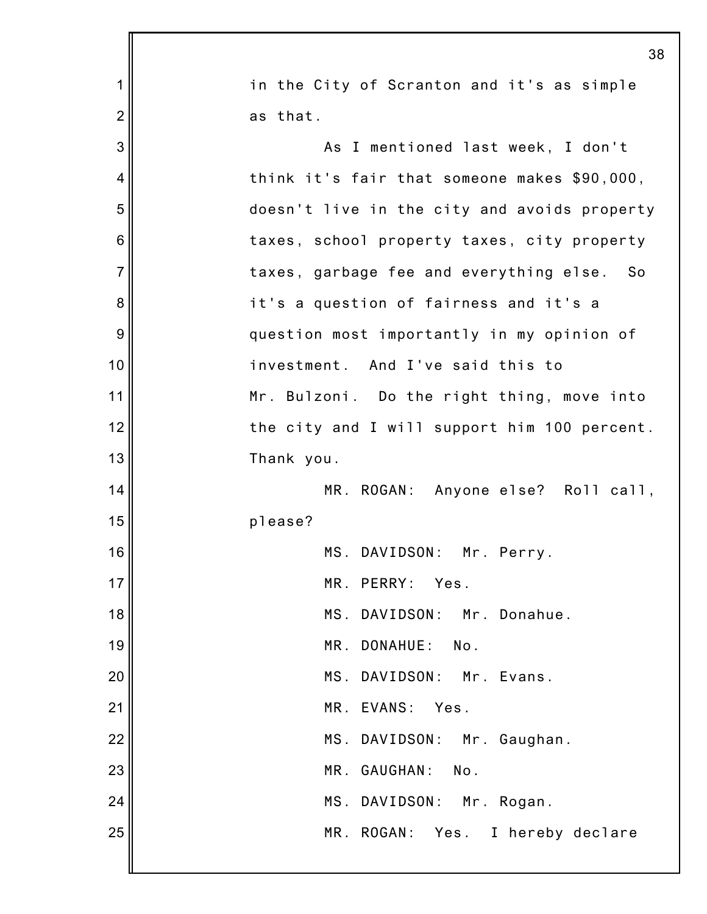|                | 38                                           |
|----------------|----------------------------------------------|
| 1              | in the City of Scranton and it's as simple   |
| $\overline{2}$ | as that.                                     |
| 3              | As I mentioned last week, I don't            |
| 4              | think it's fair that someone makes \$90,000, |
| 5              | doesn't live in the city and avoids property |
| 6              | taxes, school property taxes, city property  |
| $\overline{7}$ | taxes, garbage fee and everything else. So   |
| 8              | it's a question of fairness and it's a       |
| 9              | question most importantly in my opinion of   |
| 10             | investment. And I've said this to            |
| 11             | Mr. Bulzoni. Do the right thing, move into   |
| 12             | the city and I will support him 100 percent. |
| 13             | Thank you.                                   |
| 14             | MR. ROGAN: Anyone else? Roll call,           |
| 15             | please?                                      |
| 16             | MS. DAVIDSON: Mr. Perry.                     |
| 17             | MR. PERRY: Yes.                              |
| 18             | MS. DAVIDSON: Mr. Donahue.                   |
| 19             | MR. DONAHUE: No.                             |
| 20             | MS. DAVIDSON: Mr. Evans.                     |
| 21             | MR. EVANS: Yes.                              |
| 22             | MS. DAVIDSON: Mr. Gaughan.                   |
| 23             | MR. GAUGHAN: No.                             |
| 24             | MS. DAVIDSON: Mr. Rogan.                     |
| 25             | MR. ROGAN: Yes. I hereby declare             |
|                |                                              |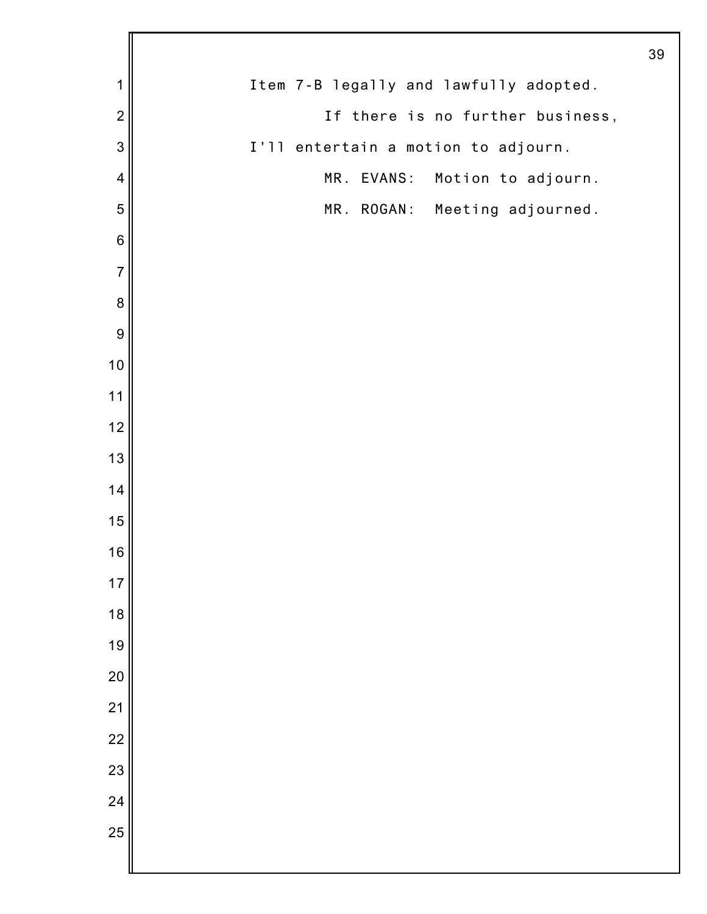|                |                                        | 39 |
|----------------|----------------------------------------|----|
| 1              | Item 7-B legally and lawfully adopted. |    |
| $\overline{2}$ | If there is no further business,       |    |
| $\mathbf{3}$   | I'll entertain a motion to adjourn.    |    |
| 4              | MR. EVANS:<br>Motion to adjourn.       |    |
| 5              | MR. ROGAN: Meeting adjourned.          |    |
| $\,6$          |                                        |    |
| $\overline{7}$ |                                        |    |
| $\bf 8$        |                                        |    |
| $\overline{9}$ |                                        |    |
| $10$           |                                        |    |
| 11             |                                        |    |
| 12             |                                        |    |
| 13             |                                        |    |
| 14             |                                        |    |
| 15             |                                        |    |
| 16             |                                        |    |
| 17             |                                        |    |
| 18             |                                        |    |
| 19             |                                        |    |
| 20             |                                        |    |
| 21             |                                        |    |
| 22             |                                        |    |
| 23             |                                        |    |
| 24             |                                        |    |
| 25             |                                        |    |
|                |                                        |    |